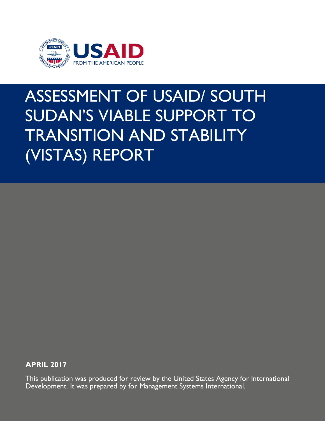

# ASSESSMENT OF USAID/ SOUTH SUDAN'S VIABLE SUPPORT TO TRANSITION AND STABILITY (VISTAS) REPORT

**APRIL 2017**

This publication was produced for review by the United States Agency for International Development. It was prepared by for Management Systems International.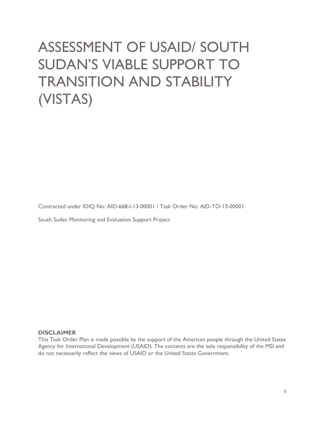# ASSESSMENT OF USAID/ SOUTH SUDAN'S VIABLE SUPPORT TO TRANSITION AND STABILITY (VISTAS)

Contracted under IDIQ No: AID-668-I-13-00001 / Task Order No: AID-TO-13-00001

South Sudan Monitoring and Evaluation Support Project

#### **DISCLAIMER**

This Task Order Plan is made possible by the support of the American people through the United States Agency for International Development (USAID). The contents are the sole responsibility of the MSI and do not necessarily reflect the views of USAID or the United States Government.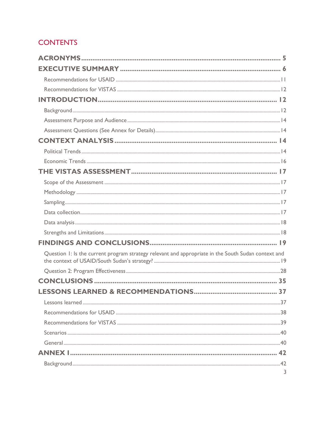# **CONTENTS**

| Question 1: Is the current program strategy relevant and appropriate in the South Sudan context and |    |
|-----------------------------------------------------------------------------------------------------|----|
|                                                                                                     |    |
|                                                                                                     |    |
| LESSONS LEARNED & RECOMMENDATIONS                                                                   | 37 |
|                                                                                                     |    |
|                                                                                                     |    |
|                                                                                                     |    |
|                                                                                                     |    |
|                                                                                                     |    |
|                                                                                                     |    |
|                                                                                                     | 3  |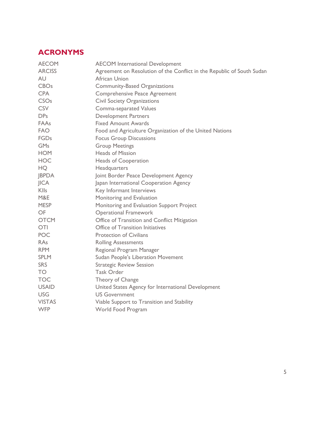# <span id="page-4-0"></span>**ACRONYMS**

| <b>AECOM</b>           | <b>AECOM</b> International Development                                 |
|------------------------|------------------------------------------------------------------------|
| <b>ARCISS</b>          | Agreement on Resolution of the Conflict in the Republic of South Sudan |
| AU                     | African Union                                                          |
| <b>CBOs</b>            | <b>Community-Based Organizations</b>                                   |
| <b>CPA</b>             | Comprehensive Peace Agreement                                          |
| <b>CSO<sub>s</sub></b> | <b>Civil Society Organizations</b>                                     |
| <b>CSV</b>             | Comma-separated Values                                                 |
| DP <sub>S</sub>        | <b>Development Partners</b>                                            |
| FAAs                   | <b>Fixed Amount Awards</b>                                             |
| <b>FAO</b>             | Food and Agriculture Organization of the United Nations                |
| <b>FGDs</b>            | <b>Focus Group Discussions</b>                                         |
| <b>GMs</b>             | <b>Group Meetings</b>                                                  |
| <b>HOM</b>             | <b>Heads of Mission</b>                                                |
| <b>HOC</b>             | Heads of Cooperation                                                   |
| HQ                     | Headquarters                                                           |
| <b>JBPDA</b>           | Joint Border Peace Development Agency                                  |
| <b>JICA</b>            | Japan International Cooperation Agency                                 |
| Klls                   | Key Informant Interviews                                               |
| M&E                    | Monitoring and Evaluation                                              |
| <b>MESP</b>            | Monitoring and Evaluation Support Project                              |
| <b>OF</b>              | <b>Operational Framework</b>                                           |
| <b>OTCM</b>            | Office of Transition and Conflict Mitigation                           |
| <b>OTI</b>             | Office of Transition Initiatives                                       |
| <b>POC</b>             | <b>Protection of Civilians</b>                                         |
| RAs                    | <b>Rolling Assessments</b>                                             |
| <b>RPM</b>             | Regional Program Manager                                               |
| <b>SPLM</b>            | <b>Sudan People's Liberation Movement</b>                              |
| <b>SRS</b>             | <b>Strategic Review Session</b>                                        |
| <b>TO</b>              | <b>Task Order</b>                                                      |
| <b>TOC</b>             | Theory of Change                                                       |
| <b>USAID</b>           | United States Agency for International Development                     |
| <b>USG</b>             | <b>US Government</b>                                                   |
| <b>VISTAS</b>          | Viable Support to Transition and Stability                             |
| <b>WFP</b>             | World Food Program                                                     |
|                        |                                                                        |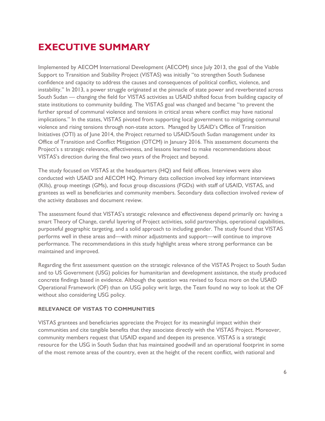# <span id="page-5-0"></span>**EXECUTIVE SUMMARY**

Implemented by AECOM International Development (AECOM) since July 2013, the goal of the Viable Support to Transition and Stability Project (VISTAS) was initially "to strengthen South Sudanese confidence and capacity to address the causes and consequences of political conflict, violence, and instability." In 2013, a power struggle originated at the pinnacle of state power and reverberated across South Sudan — changing the field for VISTAS activities as USAID shifted focus from building capacity of state institutions to community building. The VISTAS goal was changed and became "to prevent the further spread of communal violence and tensions in critical areas where conflict may have national implications." In the states, VISTAS pivoted from supporting local government to mitigating communal violence and rising tensions through non-state actors. Managed by USAID's Office of Transition Initiatives (OTI) as of June 2014, the Project returned to USAID/South Sudan management under its Office of Transition and Conflict Mitigation (OTCM) in January 2016. This assessment documents the Project's s strategic relevance, effectiveness, and lessons learned to make recommendations about VISTAS's direction during the final two years of the Project and beyond.

The study focused on VISTAS at the headquarters (HQ) and field offices. Interviews were also conducted with USAID and AECOM HQ. Primary data collection involved key informant interviews (KIIs), group meetings (GMs), and focus group discussions (FGDs) with staff of USAID, VISTAS, and grantees as well as beneficiaries and community members. Secondary data collection involved review of the activity databases and document review.

The assessment found that VISTAS's strategic relevance and effectiveness depend primarily on: having a smart Theory of Change, careful layering of Project activities, solid partnerships, operational capabilities, purposeful geographic targeting, and a solid approach to including gender. The study found that VISTAS performs well in these areas and—with minor adjustments and support—will continue to improve performance. The recommendations in this study highlight areas where strong performance can be maintained and improved.

Regarding the first assessment question on the strategic relevance of the VISTAS Project to South Sudan and to US Government (USG) policies for humanitarian and development assistance, the study produced concrete findings based in evidence. Although the question was revised to focus more on the USAID Operational Framework (OF) than on USG policy writ large, the Team found no way to look at the OF without also considering USG policy.

#### **RELEVANCE OF VISTAS TO COMMUNITIES**

VISTAS grantees and beneficiaries appreciate the Project for its meaningful impact within their communities and cite tangible benefits that they associate directly with the VISTAS Project. Moreover, community members request that USAID expand and deepen its presence. VISTAS is a strategic resource for the USG in South Sudan that has maintained goodwill and an operational footprint in some of the most remote areas of the country, even at the height of the recent conflict, with national and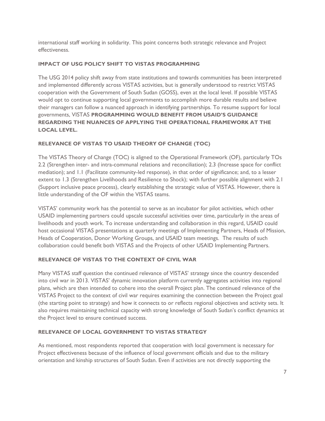international staff working in solidarity. This point concerns both strategic relevance and Project effectiveness.

# **IMPACT OF USG POLICY SHIFT TO VISTAS PROGRAMMING**

The USG 2014 policy shift away from state institutions and towards communities has been interpreted and implemented differently across VISTAS activities, but is generally understood to restrict VISTAS cooperation with the Government of South Sudan (GOSS), even at the local level. If possible VISTAS would opt to continue supporting local governments to accomplish more durable results and believe their managers can follow a nuanced approach in identifying partnerships. To resume support for local governments, VISTAS **PROGRAMMING WOULD BENEFIT FROM USAID'S GUIDANCE REGARDING THE NUANCES OF APPLYING THE OPERATIONAL FRAMEWORK AT THE LOCAL LEVEL.**

# **RELEVANCE OF VISTAS TO USAID THEORY OF CHANGE (TOC)**

The VISTAS Theory of Change (TOC) is aligned to the Operational Framework (OF), particularly TOs 2.2 (Strengthen inter- and intra-communal relations and reconciliation); 2.3 (Increase space for conflict mediation); and 1.1 (Facilitate community-led response), in that order of significance; and, to a lesser extent to 1.3 (Strengthen Livelihoods and Resilience to Shock); with further possible alignment with 2.1 (Support inclusive peace process), clearly establishing the strategic value of VISTAS. However, there is little understanding of the OF within the VISTAS teams.

VISTAS' community work has the potential to serve as an incubator for pilot activities, which other USAID implementing partners could upscale successful activities over time, particularly in the areas of livelihoods and youth work. To increase understanding and collaboration in this regard, USAID could host occasional VISTAS presentations at quarterly meetings of Implementing Partners, Heads of Mission, Heads of Cooperation, Donor Working Groups, and USAID team meetings. The results of such collaboration could benefit both VISTAS and the Projects of other USAID Implementing Partners.

#### **RELEVANCE OF VISTAS TO THE CONTEXT OF CIVIL WAR**

Many VISTAS staff question the continued relevance of VISTAS' strategy since the country descended into civil war in 2013. VISTAS' dynamic innovation platform currently aggregates activities into regional plans, which are then intended to cohere into the overall Project plan. The continued relevance of the VISTAS Project to the context of civil war requires examining the connection between the Project goal (the starting point to strategy) and how it connects to or reflects regional objectives and activity sets. It also requires maintaining technical capacity with strong knowledge of South Sudan's conflict dynamics at the Project level to ensure continued success.

#### **RELEVANCE OF LOCAL GOVERNMENT TO VISTAS STRATEGY**

As mentioned, most respondents reported that cooperation with local government is necessary for Project effectiveness because of the influence of local government officials and due to the military orientation and kinship structures of South Sudan. Even if activities are not directly supporting the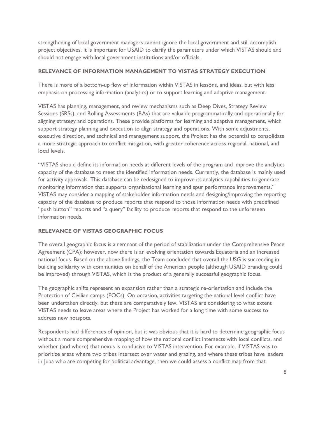strengthening of local government managers cannot ignore the local government and still accomplish project objectives. It is important for USAID to clarify the parameters under which VISTAS should and should not engage with local government institutions and/or officials.

#### **RELEVANCE OF INFORMATION MANAGEMENT TO VISTAS STRATEGY EXECUTION**

There is more of a bottom-up flow of information within VISTAS in lessons, and ideas, but with less emphasis on processing information (analytics) or to support learning and adaptive management.

VISTAS has planning, management, and review mechanisms such as Deep Dives, Strategy Review Sessions (SRSs), and Rolling Assessments (RAs) that are valuable programmatically and operationally for aligning strategy and operations. These provide platforms for learning and adaptive management, which support strategy planning and execution to align strategy and operations. With some adjustments, executive direction, and technical and management support, the Project has the potential to consolidate a more strategic approach to conflict mitigation, with greater coherence across regional, national, and local levels.

"VISTAS should define its information needs at different levels of the program and improve the analytics capacity of the database to meet the identified information needs. Currently, the database is mainly used for activity approvals. This database can be redesigned to improve its analytics capabilities to generate monitoring information that supports organizational learning and spur performance improvements." VISTAS may consider a mapping of stakeholder information needs and designing/improving the reporting capacity of the database to produce reports that respond to those information needs with predefined "push button" reports and "a query" facility to produce reports that respond to the unforeseen information needs.

# **RELEVANCE OF VISTAS GEOGRAPHIC FOCUS**

The overall geographic focus is a remnant of the period of stabilization under the Comprehensive Peace Agreement (CPA); however, now there is an evolving orientation towards Equatoria and an increased national focus. Based on the above findings, the Team concluded that overall the USG is succeeding in building solidarity with communities on behalf of the American people (although USAID branding could be improved) through VISTAS, which is the product of a generally successful geographic focus.

The geographic shifts represent an expansion rather than a strategic re-orientation and include the Protection of Civilian camps (POCs). On occasion, activities targeting the national level conflict have been undertaken directly, but these are comparatively few. VISTAS are considering to what extent VISTAS needs to leave areas where the Project has worked for a long time with some success to address new hotspots.

Respondents had differences of opinion, but it was obvious that it is hard to determine geographic focus without a more comprehensive mapping of how the national conflict intersects with local conflicts, and whether (and where) that nexus is conducive to VISTAS intervention. For example, if VISTAS was to prioritize areas where two tribes intersect over water and grazing, and where these tribes have leaders in Juba who are competing for political advantage, then we could assess a conflict map from that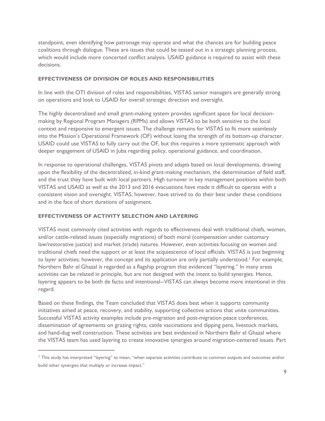standpoint, even identifying how patronage may operate and what the chances are for building peace coalitions through dialogue. These are issues that could be teased out in a strategic planning process, which would include more concerted conflict analysis. USAID guidance is required to assist with these decisions.

#### **EFFECTIVENESS OF DIVISION OF ROLES AND RESPONSIBILITIES**

In line with the OTI division of roles and responsibilities, VISTAS senior managers are generally strong on operations and look to USAID for overall strategic direction and oversight.

The highly decentralized and small grant-making system provides significant space for local decisionmaking by Regional Program Managers (RPMs) and allows VISTAS to be both sensitive to the local context and responsive to emergent issues. The challenge remains for VISTAS to fit more seamlessly into the Mission's Operational Framework (OF) without losing the strength of its bottom-up character. USAID could use VISTAS to fully carry out the OF, but this requires a more systematic approach with deeper engagement of USAID in Juba regarding policy, operational guidance, and coordination.

In response to operational challenges, VISTAS pivots and adapts based on local developments, drawing upon the flexibility of the decentralized, in-kind grant-making mechanism, the determination of field staff, and the trust they have built with local partners. High turnover in key management positions within both VISTAS and USAID as well as the 2013 and 2016 evacuations have made it difficult to operate with a consistent vision and oversight. VISTAS, however, have strived to do their best under these conditions and in the face of short durations of assignment.

#### **EFFECTIVENESS OF ACTIVITY SELECTION AND LAYERING**

 $\overline{a}$ 

VISTAS most commonly cited activities with regards to effectiveness deal with traditional chiefs, women, and/or cattle-related issues (especially migrations) of both moral (compensation under customary law/restorative justice) and market (trade) natures. However, even activities focusing on women and traditional chiefs need the support or at least the acquiescence of local officials. VISTAS is just beginning to layer activities; however, the concept and its application are only partially understood.<sup>1</sup> For example, Northern Bahr el Ghazal is regarded as a flagship program that evidenced "layering." In many areas activities can be related in principle, but are not designed with the intent to build synergies. Hence, layering appears to be both de facto and intentional--VISTAS can always become more intentional in this regard.

Based on these findings, the Team concluded that VISTAS does best when it supports community initiatives aimed at peace, recovery, and stability, supporting collective actions that unite communities. Successful VISTAS activity examples include pre-migration and post-migration peace conferences, dissemination of agreements on grazing rights, cattle vaccinations and dipping pens, livestock markets, and hand-dug well construction. These activities are best evidenced in Northern Bahr el Ghazal where the VISTAS team has used layering to create innovative synergies around migration-centered issues. Part

<sup>1</sup> This study has interpreted "layering" to mean, "when separate activities contribute to common outputs and outcomes and/or build other synergies that multiply or increase impact."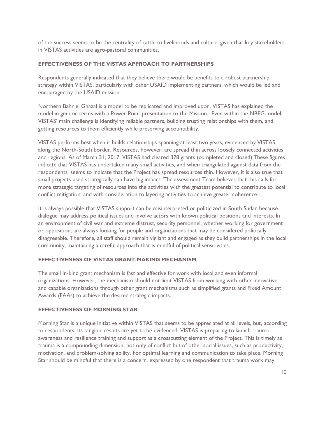of the success seems to be the centrality of cattle to livelihoods and culture, given that key stakeholders in VISTAS activities are agro-pastoral communities.

# **EFFECTIVENESS OF THE VISTAS APPROACH TO PARTNERSHIPS**

Respondents generally indicated that they believe there would be benefits to a robust partnership strategy within VISTAS, particularly with other USAID implementing partners, which would be led and encouraged by the USAID mission.

Northern Bahr el Ghazal is a model to be replicated and improved upon. VISTAS has explained the model in generic terms with a Power Point presentation to the Mission. Even within the NBEG model, VISTAS' main challenge is identifying reliable partners, building trusting relationships with them, and getting resources to them efficiently while preserving accountability.

VISTAS performs best when it builds relationships spanning at least two years, evidenced by VISTAS along the North-South border. Resources, however, are spread thin across loosely connected activities and regions. As of March 31, 2017, VISTAS had cleared 378 grants (completed and closed).These figures indicate that VISTAS has undertaken many small activities, and when triangulated against data from the respondents, seems to indicate that the Project has spread resources thin. However, it is also true that small projects used strategically can have big impact. The assessment Team believes that this calls for more strategic targeting of resources into the activities with the greatest potential to contribute to local conflict mitigation, and with consideration to layering activities to achieve greater coherence.

It is always possible that VISTAS support can be misinterpreted or politicized in South Sudan because dialogue may address political issues and involve actors with known political positions and interests. In an environment of civil war and extreme distrust, security personnel, whether working for government or opposition, are always looking for people and organizations that may be considered politically disagreeable. Therefore, all staff should remain vigilant and engaged as they build partnerships in the local community, maintaining a careful approach that is mindful of political sensitivities.

# **EFFECTIVENESS OF VISTAS GRANT-MAKING MECHANISM**

The small in-kind grant mechanism is fast and effective for work with local and even informal organizations. However, the mechanism should not limit VISTAS from working with other innovative and capable organizations through other grant mechanisms such as simplified grants and Fixed Amount Awards (FAAs) to achieve the desired strategic impacts.

# **EFFECTIVENESS OF MORNING STAR**

Morning Star is a unique initiative within VISTAS that seems to be appreciated at all levels, but, according to respondents, its tangible results are yet to be evidenced. VISTAS is preparing to launch trauma awareness and resilience training and support as a crosscutting element of the Project. This is timely as trauma is a compounding dimension, not only of conflict but of other social issues, such as productivity, motivation, and problem-solving ability. For optimal learning and communication to take place, Morning Star should be mindful that there is a concern, expressed by one respondent that trauma work may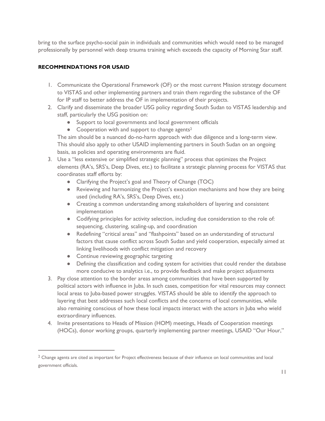bring to the surface psycho-social pain in individuals and communities which would need to be managed professionally by personnel with deep trauma training which exceeds the capacity of Morning Star staff.

# <span id="page-10-0"></span>**RECOMMENDATIONS FOR USAID**

- 1. Communicate the Operational Framework (OF) or the most current Mission strategy document to VISTAS and other implementing partners and train them regarding the substance of the OF for IP staff to better address the OF in implementation of their projects.
- 2. Clarify and disseminate the broader USG policy regarding South Sudan to VISTAS leadership and staff, particularly the USG position on:
	- Support to local governments and local government officials
	- Cooperation with and support to change agents<sup>2</sup>

The aim should be a nuanced do-no-harm approach with due diligence and a long-term view. This should also apply to other USAID implementing partners in South Sudan on an ongoing basis, as policies and operating environments are fluid.

- 3. Use a "less extensive or simplified strategic planning" process that optimizes the Project elements (RA's, SRS's, Deep Dives, etc.) to facilitate a strategic planning process for VISTAS that coordinates staff efforts by:
	- Clarifying the Project's goal and Theory of Change (TOC)
	- Reviewing and harmonizing the Project's execution mechanisms and how they are being used (including RA's, SRS's, Deep Dives, etc.)
	- Creating a common understanding among stakeholders of layering and consistent implementation
	- Codifying principles for activity selection, including due consideration to the role of: sequencing, clustering, scaling-up, and coordination
	- Redefining "critical areas" and "flashpoints" based on an understanding of structural factors that cause conflict across South Sudan and yield cooperation, especially aimed at linking livelihoods with conflict mitigation and recovery
	- Continue reviewing geographic targeting

 $\overline{a}$ 

- Defining the classification and coding system for activities that could render the database more conducive to analytics i.e., to provide feedback and make project adjustments
- 3. Pay close attention to the border areas among communities that have been supported by political actors with influence in Juba. In such cases, competition for vital resources may connect local areas to Juba-based power struggles. VISTAS should be able to identify the approach to layering that best addresses such local conflicts and the concerns of local communities, while also remaining conscious of how these local impacts interact with the actors in Juba who wield extraordinary influences.
- 4. Invite presentations to Heads of Mission (HOM) meetings, Heads of Cooperation meetings (HOCs), donor working groups, quarterly implementing partner meetings, USAID "Our Hour,"

<sup>&</sup>lt;sup>2</sup> Change agents are cited as important for Project effectiveness because of their influence on local communities and local government officials.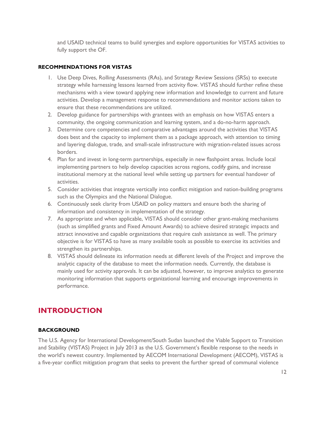and USAID technical teams to build synergies and explore opportunities for VISTAS activities to fully support the OF.

## <span id="page-11-0"></span>**RECOMMENDATIONS FOR VISTAS**

- 1. Use Deep Dives, Rolling Assessments (RAs), and Strategy Review Sessions (SRSs) to execute strategy while harnessing lessons learned from activity flow. VISTAS should further refine these mechanisms with a view toward applying new information and knowledge to current and future activities. Develop a management response to recommendations and monitor actions taken to ensure that these recommendations are utilized.
- 2. Develop guidance for partnerships with grantees with an emphasis on how VISTAS enters a community, the ongoing communication and learning system, and a do-no-harm approach.
- 3. Determine core competencies and comparative advantages around the activities that VISTAS does best and the capacity to implement them as a package approach, with attention to timing and layering dialogue, trade, and small-scale infrastructure with migration-related issues across borders.
- 4. Plan for and invest in long-term partnerships, especially in new flashpoint areas. Include local implementing partners to help develop capacities across regions, codify gains, and increase institutional memory at the national level while setting up partners for eventual handover of activities.
- 5. Consider activities that integrate vertically into conflict mitigation and nation-building programs such as the Olympics and the National Dialogue.
- 6. Continuously seek clarity from USAID on policy matters and ensure both the sharing of information and consistency in implementation of the strategy.
- 7. As appropriate and when applicable, VISTAS should consider other grant-making mechanisms (such as simplified grants and Fixed Amount Awards) to achieve desired strategic impacts and attract innovative and capable organizations that require cash assistance as well. The primary objective is for VISTAS to have as many available tools as possible to exercise its activities and strengthen its partnerships.
- 8. VISTAS should delineate its information needs at different levels of the Project and improve the analytic capacity of the database to meet the information needs. Currently, the database is mainly used for activity approvals. It can be adjusted, however, to improve analytics to generate monitoring information that supports organizational learning and encourage improvements in performance.

# <span id="page-11-1"></span>**INTRODUCTION**

#### <span id="page-11-2"></span>**BACKGROUND**

The U.S. Agency for International Development/South Sudan launched the Viable Support to Transition and Stability (VISTAS) Project in July 2013 as the U.S. Government's flexible response to the needs in the world's newest country. Implemented by AECOM International Development (AECOM), VISTAS is a five-year conflict mitigation program that seeks to prevent the further spread of communal violence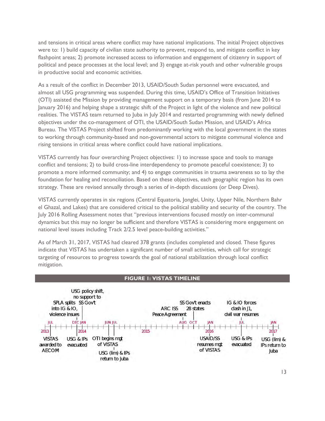and tensions in critical areas where conflict may have national implications. The initial Project objectives were to: 1) build capacity of civilian state authority to prevent, respond to, and mitigate conflict in key flashpoint areas; 2) promote increased access to information and engagement of citizenry in support of political and peace processes at the local level; and 3) engage at-risk youth and other vulnerable groups in productive social and economic activities.

As a result of the conflict in December 2013, USAID/South Sudan personnel were evacuated, and almost all USG programming was suspended. During this time, USAID's Office of Transition Initiatives (OTI) assisted the Mission by providing management support on a temporary basis (from June 2014 to January 2016) and helping shape a strategic shift of the Project in light of the violence and new political realities. The VISTAS team returned to Juba in July 2014 and restarted programming with newly defined objectives under the co-management of OTI, the USAID/South Sudan Mission, and USAID's Africa Bureau. The VISTAS Project shifted from predominantly working with the local government in the states to working through community-based and non-governmental actors to mitigate communal violence and rising tensions in critical areas where conflict could have national implications.

VISTAS currently has four overarching Project objectives: 1) to increase space and tools to manage conflict and tensions; 2) to build cross-line interdependency to promote peaceful coexistence; 3) to promote a more informed community; and 4) to engage communities in trauma awareness so to lay the foundation for healing and reconciliation. Based on these objectives, each geographic region has its own strategy. These are revised annually through a series of in-depth discussions (or Deep Dives).

VISTAS currently operates in six regions (Central Equatoria, Jonglei, Unity, Upper Nile, Northern Bahr el Ghazal, and Lakes) that are considered critical to the political stability and security of the country. The July 2016 Rolling Assessment notes that "previous interventions focused mostly on inter-communal dynamics but this may no longer be sufficient and therefore VISTAS is considering more engagement on national level issues including Track 2/2.5 level peace-building activities."

As of March 31, 2017, VISTAS had cleared 378 grants (includes completed and closed. These figures indicate that VISTAS has undertaken a significant number of small activities, which call for strategic targeting of resources to progress towards the goal of national stabilization through local conflict mitigation.

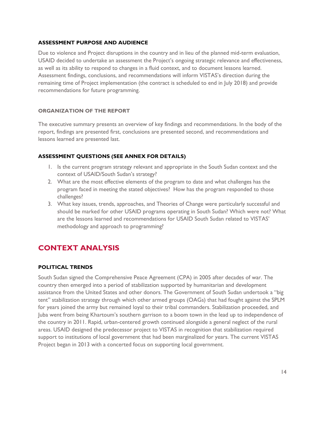#### <span id="page-13-0"></span>**ASSESSMENT PURPOSE AND AUDIENCE**

Due to violence and Project disruptions in the country and in lieu of the planned mid-term evaluation, USAID decided to undertake an assessment the Project's ongoing strategic relevance and effectiveness, as well as its ability to respond to changes in a fluid context, and to document lessons learned. Assessment findings, conclusions, and recommendations will inform VISTAS's direction during the remaining time of Project implementation (the contract is scheduled to end in July 2018) and provide recommendations for future programming.

## **ORGANIZATION OF THE REPORT**

The executive summary presents an overview of key findings and recommendations. In the body of the report, findings are presented first, conclusions are presented second, and recommendations and lessons learned are presented last.

# <span id="page-13-1"></span>**ASSESSMENT QUESTIONS (SEE ANNEX FOR DETAILS)**

- 1. Is the current program strategy relevant and appropriate in the South Sudan context and the context of USAID/South Sudan's strategy?
- 2. What are the most effective elements of the program to date and what challenges has the program faced in meeting the stated objectives? How has the program responded to those challenges?
- 3. What key issues, trends, approaches, and Theories of Change were particularly successful and should be marked for other USAID programs operating in South Sudan? Which were not? What are the lessons learned and recommendations for USAID South Sudan related to VISTAS' methodology and approach to programming?

# <span id="page-13-2"></span>**CONTEXT ANALYSIS**

# <span id="page-13-3"></span>**POLITICAL TRENDS**

South Sudan signed the Comprehensive Peace Agreement (CPA) in 2005 after decades of war. The country then emerged into a period of stabilization supported by humanitarian and development assistance from the United States and other donors. The Government of South Sudan undertook a "big tent" stabilization strategy through which other armed groups (OAGs) that had fought against the SPLM for years joined the army but remained loyal to their tribal commanders. Stabilization proceeded, and Juba went from being Khartoum's southern garrison to a boom town in the lead up to independence of the country in 2011. Rapid, urban-centered growth continued alongside a general neglect of the rural areas. USAID designed the predecessor project to VISTAS in recognition that stabilization required support to institutions of local government that had been marginalized for years. The current VISTAS Project began in 2013 with a concerted focus on supporting local government.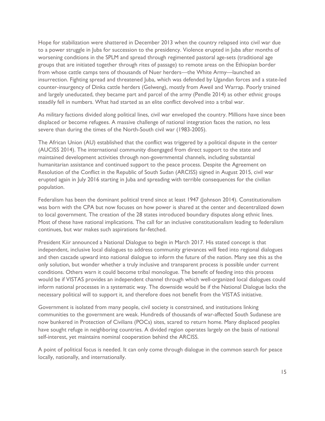Hope for stabilization were shattered in December 2013 when the country relapsed into civil war due to a power struggle in Juba for succession to the presidency. Violence erupted in Juba after months of worsening conditions in the SPLM and spread through regimented pastoral age-sets (traditional age groups that are initiated together through rites of passage) to remote areas on the Ethiopian border from whose cattle camps tens of thousands of Nuer herders—the White Army—launched an insurrection. Fighting spread and threatened Juba, which was defended by Ugandan forces and a state-led counter-insurgency of Dinka cattle herders (Gelweng), mostly from Aweil and Warrap. Poorly trained and largely uneducated, they became part and parcel of the army (Pendle 2014) as other ethnic groups steadily fell in numbers. What had started as an elite conflict devolved into a tribal war.

As military factions divided along political lines, civil war enveloped the country. Millions have since been displaced or become refugees. A massive challenge of national integration faces the nation, no less severe than during the times of the North-South civil war (1983-2005).

The African Union (AU) established that the conflict was triggered by a political dispute in the center (AUCISS 2014). The international community disengaged from direct support to the state and maintained development activities through non-governmental channels, including substantial humanitarian assistance and continued support to the peace process. Despite the Agreement on Resolution of the Conflict in the Republic of South Sudan (ARCISS) signed in August 2015, civil war erupted again in July 2016 starting in Juba and spreading with terrible consequences for the civilian population.

Federalism has been the dominant political trend since at least 1947 (Johnson 2014). Constitutionalism was born with the CPA but now focuses on how power is shared at the center and decentralized down to local government. The creation of the 28 states introduced boundary disputes along ethnic lines. Most of these have national implications. The call for an inclusive constitutionalism leading to federalism continues, but war makes such aspirations far-fetched.

President Kiir announced a National Dialogue to begin in March 2017. His stated concept is that independent, inclusive local dialogues to address community grievances will feed into regional dialogues and then cascade upward into national dialogue to inform the future of the nation. Many see this as the only solution, but wonder whether a truly inclusive and transparent process is possible under current conditions. Others warn it could become tribal monologue. The benefit of feeding into this process would be if VISTAS provides an independent channel through which well-organized local dialogues could inform national processes in a systematic way. The downside would be if the National Dialogue lacks the necessary political will to support it, and therefore does not benefit from the VISTAS initiative.

Government is isolated from many people, civil society is constrained, and institutions linking communities to the government are weak. Hundreds of thousands of war-affected South Sudanese are now bunkered in Protection of Civilians (POCs) sites, scared to return home. Many displaced peoples have sought refuge in neighboring countries. A divided region operates largely on the basis of national self-interest, yet maintains nominal cooperation behind the ARCISS.

A point of political focus is needed. It can only come through dialogue in the common search for peace locally, nationally, and internationally.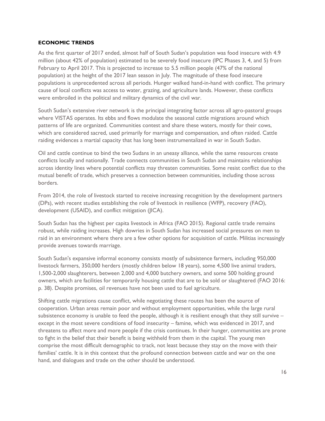#### <span id="page-15-0"></span>**ECONOMIC TRENDS**

As the first quarter of 2017 ended, almost half of South Sudan's population was food insecure with 4.9 million (about 42% of population) estimated to be severely food insecure (IPC Phases 3, 4, and 5) from February to April 2017. This is projected to increase to 5.5 million people (47% of the national population) at the height of the 2017 lean season in July. The magnitude of these food insecure populations is unprecedented across all periods. Hunger walked hand-in-hand with conflict. The primary cause of local conflicts was access to water, grazing, and agriculture lands. However, these conflicts were embroiled in the political and military dynamics of the civil war.

South Sudan's extensive river network is the principal integrating factor across all agro-pastoral groups where VISTAS operates. Its ebbs and flows modulate the seasonal cattle migrations around which patterns of life are organized. Communities contest and share these waters, mostly for their cows, which are considered sacred, used primarily for marriage and compensation, and often raided. Cattle raiding evidences a martial capacity that has long been instrumentalized in war in South Sudan.

Oil and cattle continue to bind the two Sudans in an uneasy alliance, while the same resources create conflicts locally and nationally. Trade connects communities in South Sudan and maintains relationships across identity lines where potential conflicts may threaten communities. Some resist conflict due to the mutual benefit of trade, which preserves a connection between communities, including those across borders.

From 2014, the role of livestock started to receive increasing recognition by the development partners (DPs), with recent studies establishing the role of livestock in resilience (WFP), recovery (FAO), development (USAID), and conflict mitigation (JICA).

South Sudan has the highest per capita livestock in Africa (FAO 2015). Regional cattle trade remains robust, while raiding increases. High dowries in South Sudan has increased social pressures on men to raid in an environment where there are a few other options for acquisition of cattle. Militias increasingly provide avenues towards marriage.

South Sudan's expansive informal economy consists mostly of subsistence farmers, including 950,000 livestock farmers, 350,000 herders (mostly children below 18 years), some 4,500 live animal traders, 1,500-2,000 slaughterers, between 2,000 and 4,000 butchery owners, and some 500 holding ground owners, which are facilities for temporarily housing cattle that are to be sold or slaughtered (FAO 2016: p. 38). Despite promises, oil revenues have not been used to fuel agriculture.

Shifting cattle migrations cause conflict, while negotiating these routes has been the source of cooperation. Urban areas remain poor and without employment opportunities, while the large rural subsistence economy is unable to feed the people, although it is resilient enough that they still survive – except in the most severe conditions of food insecurity – famine, which was evidenced in 2017, and threatens to affect more and more people if the crisis continues. In their hunger, communities are prone to fight in the belief that their benefit is being withheld from them in the capital. The young men comprise the most difficult demographic to track, not least because they stay on the move with their families' cattle. It is in this context that the profound connection between cattle and war on the one hand, and dialogues and trade on the other should be understood.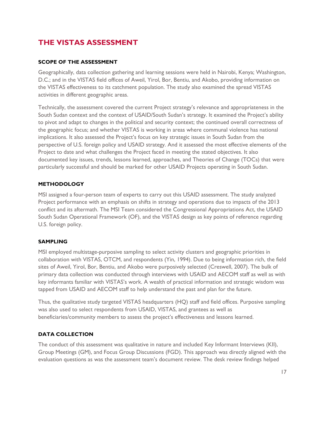# <span id="page-16-0"></span>**THE VISTAS ASSESSMENT**

## <span id="page-16-1"></span>**SCOPE OF THE ASSESSMENT**

Geographically, data collection gathering and learning sessions were held in Nairobi, Kenya; Washington, D.C.; and in the VISTAS field offices of Aweil, Yirol, Bor, Bentiu, and Akobo, providing information on the VISTAS effectiveness to its catchment population. The study also examined the spread VISTAS activities in different geographic areas.

Technically, the assessment covered the current Project strategy's relevance and appropriateness in the South Sudan context and the context of USAID/South Sudan's strategy. It examined the Project's ability to pivot and adapt to changes in the political and security context; the continued overall correctness of the geographic focus; and whether VISTAS is working in areas where communal violence has national implications. It also assessed the Project's focus on key strategic issues in South Sudan from the perspective of U.S. foreign policy and USAID strategy. And it assessed the most effective elements of the Project to date and what challenges the Project faced in meeting the stated objectives. It also documented key issues, trends, lessons learned, approaches, and Theories of Change (TOCs) that were particularly successful and should be marked for other USAID Projects operating in South Sudan.

## <span id="page-16-2"></span>**METHODOLOGY**

MSI assigned a four-person team of experts to carry out this USAID assessment. The study analyzed Project performance with an emphasis on shifts in strategy and operations due to impacts of the 2013 conflict and its aftermath. The MSI Team considered the Congressional Appropriations Act, the USAID South Sudan Operational Framework (OF), and the VISTAS design as key points of reference regarding U.S. foreign policy.

#### <span id="page-16-3"></span>**SAMPLING**

MSI employed multistage-purposive sampling to select activity clusters and geographic priorities in collaboration with VISTAS, OTCM, and respondents (Yin, 1994). Due to being information rich, the field sites of Aweil, Yirol, Bor, Bentiu, and Akobo were purposively selected (Creswell, 2007). The bulk of primary data collection was conducted through interviews with USAID and AECOM staff as well as with key informants familiar with VISTAS's work. A wealth of practical information and strategic wisdom was tapped from USAID and AECOM staff to help understand the past and plan for the future.

Thus, the qualitative study targeted VISTAS headquarters (HQ) staff and field offices. Purposive sampling was also used to select respondents from USAID, VISTAS, and grantees as well as beneficiaries/community members to assess the project's effectiveness and lessons learned.

# <span id="page-16-4"></span>**DATA COLLECTION**

The conduct of this assessment was qualitative in nature and included Key Informant Interviews (KII), Group Meetings (GM), and Focus Group Discussions (FGD). This approach was directly aligned with the evaluation questions as was the assessment team's document review. The desk review findings helped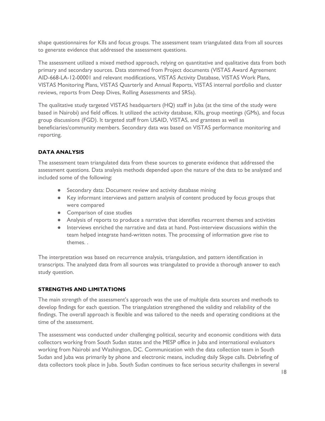shape questionnaires for KIIs and focus groups. The assessment team triangulated data from all sources to generate evidence that addressed the assessment questions.

The assessment utilized a mixed method approach, relying on quantitative and qualitative data from both primary and secondary sources. Data stemmed from Project documents (VISTAS Award Agreement AID-668-LA-12-00001 and relevant modifications, VISTAS Activity Database, VISTAS Work Plans, VISTAS Monitoring Plans, VISTAS Quarterly and Annual Reports, VISTAS internal portfolio and cluster reviews, reports from Deep Dives, Rolling Assessments and SRSs).

The qualitative study targeted VISTAS headquarters (HQ) staff in Juba (at the time of the study were based in Nairobi) and field offices. It utilized the activity database, KIIs, group meetings (GMs), and focus group discussions (FGD). It targeted staff from USAID, VISTAS, and grantees as well as beneficiaries/community members. Secondary data was based on VISTAS performance monitoring and reporting.

# <span id="page-17-0"></span>**DATA ANALYSIS**

The assessment team triangulated data from these sources to generate evidence that addressed the assessment questions. Data analysis methods depended upon the nature of the data to be analyzed and included some of the following:

- Secondary data: Document review and activity database mining
- Key informant interviews and pattern analysis of content produced by focus groups that were compared
- Comparison of case studies
- Analysis of reports to produce a narrative that identifies recurrent themes and activities
- Interviews enriched the narrative and data at hand. Post-interview discussions within the team helped integrate hand-written notes. The processing of information gave rise to themes. .

The interpretation was based on recurrence analysis, triangulation, and pattern identification in transcripts. The analyzed data from all sources was triangulated to provide a thorough answer to each study question.

# <span id="page-17-1"></span>**STRENGTHS AND LIMITATIONS**

The main strength of the assessment's approach was the use of multiple data sources and methods to develop findings for each question. The triangulation strengthened the validity and reliability of the findings. The overall approach is flexible and was tailored to the needs and operating conditions at the time of the assessment.

The assessment was conducted under challenging political, security and economic conditions with data collectors working from South Sudan states and the MESP office in Juba and international evaluators working from Nairobi and Washington, DC. Communication with the data collection team in South Sudan and Juba was primarily by phone and electronic means, including daily Skype calls. Debriefing of data collectors took place in Juba. South Sudan continues to face serious security challenges in several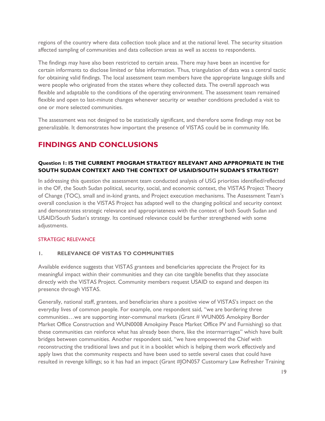regions of the country where data collection took place and at the national level. The security situation affected sampling of communities and data collection areas as well as access to respondents.

The findings may have also been restricted to certain areas. There may have been an incentive for certain informants to disclose limited or false information. Thus, triangulation of data was a central tactic for obtaining valid findings. The local assessment team members have the appropriate language skills and were people who originated from the states where they collected data. The overall approach was flexible and adaptable to the conditions of the operating environment. The assessment team remained flexible and open to last-minute changes whenever security or weather conditions precluded a visit to one or more selected communities.

The assessment was not designed to be statistically significant, and therefore some findings may not be generalizable. It demonstrates how important the presence of VISTAS could be in community life.

# <span id="page-18-0"></span>**FINDINGS AND CONCLUSIONS**

# <span id="page-18-1"></span>**Question 1: IS THE CURRENT PROGRAM STRATEGY RELEVANT AND APPROPRIATE IN THE SOUTH SUDAN CONTEXT AND THE CONTEXT OF USAID/SOUTH SUDAN'S STRATEGY?**

In addressing this question the assessment team conducted analysis of USG priorities identified/reflected in the OF, the South Sudan political, security, social, and economic context, the VISTAS Project Theory of Change (TOC), small and in-kind grants, and Project execution mechanisms. The Assessment Team's overall conclusion is the VISTAS Project has adapted well to the changing political and security context and demonstrates strategic relevance and appropriateness with the context of both South Sudan and USAID/South Sudan's strategy. Its continued relevance could be further strengthened with some adjustments.

#### STRATEGIC RELEVANCE

#### **1. RELEVANCE OF VISTAS TO COMMUNITIES**

Available evidence suggests that VISTAS grantees and beneficiaries appreciate the Project for its meaningful impact within their communities and they can cite tangible benefits that they associate directly with the VISTAS Project. Community members request USAID to expand and deepen its presence through VISTAS.

Generally, national staff, grantees, and beneficiaries share a positive view of VISTAS's impact on the everyday lives of common people. For example, one respondent said, "we are bordering three communities…we are supporting inter-communal markets (Grant # WUN005 Amokpiny Border Market Office Construction and WUN0008 Amokpiny Peace Market Office PV and Furnishing) so that these communities can reinforce what has already been there, like the intermarriages" which have built bridges between communities. Another respondent said, "we have empowered the Chief with reconstructing the traditional laws and put it in a booklet which is helping them work effectively and apply laws that the community respects and have been used to settle several cases that could have resulted in revenge killings; so it has had an impact (Grant #JON057 Customary Law Refresher Training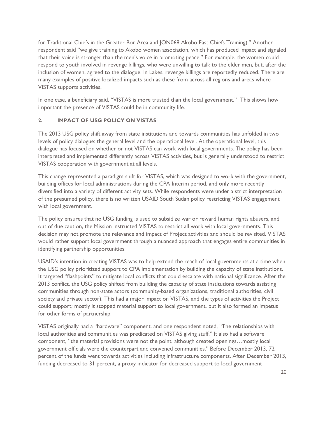for Traditional Chiefs in the Greater Bor Area and JON068 Akobo East Chiefs Training)." Another respondent said "we give training to Akobo women association, which has produced impact and signaled that their voice is stronger than the men's voice in promoting peace." For example, the women could respond to youth involved in revenge killings, who were unwilling to talk to the elder men, but, after the inclusion of women, agreed to the dialogue. In Lakes, revenge killings are reportedly reduced. There are many examples of positive localized impacts such as these from across all regions and areas where VISTAS supports activities.

In one case, a beneficiary said, "VISTAS is more trusted than the local government." This shows how important the presence of VISTAS could be in community life.

# **2. IMPACT OF USG POLICY ON VISTAS**

The 2013 USG policy shift away from state institutions and towards communities has unfolded in two levels of policy dialogue: the general level and the operational level. At the operational level, this dialogue has focused on whether or not VISTAS can work with local governments. The policy has been interpreted and implemented differently across VISTAS activities, but is generally understood to restrict VISTAS cooperation with government at all levels.

This change represented a paradigm shift for VISTAS, which was designed to work with the government, building offices for local administrations during the CPA Interim period, and only more recently diversified into a variety of different activity sets. While respondents were under a strict interpretation of the presumed policy, there is no written USAID South Sudan policy restricting VISTAS engagement with local government.

The policy ensures that no USG funding is used to subsidize war or reward human rights abusers, and out of due caution, the Mission instructed VISTAS to restrict all work with local governments. This decision may not promote the relevance and impact of Project activities and should be revisited. VISTAS would rather support local government through a nuanced approach that engages entire communities in identifying partnership opportunities.

USAID's intention in creating VISTAS was to help extend the reach of local governments at a time when the USG policy prioritized support to CPA implementation by building the capacity of state institutions. It targeted "flashpoints" to mitigate local conflicts that could escalate with national significance. After the 2013 conflict, the USG policy shifted from building the capacity of state institutions towards assisting communities through non-state actors (community-based organizations, traditional authorities, civil society and private sector). This had a major impact on VISTAS, and the types of activities the Project could support; mostly it stopped material support to local government, but it also formed an impetus for other forms of partnership.

VISTAS originally had a "hardware" component, and one respondent noted, "The relationships with local authorities and communities was predicated on VISTAS giving stuff." It also had a software component, "the material provisions were not the point, although created openings…mostly local government officials were the counterpart and convened communities." Before December 2013, 72 percent of the funds went towards activities including infrastructure components. After December 2013, funding decreased to 31 percent, a proxy indicator for decreased support to local government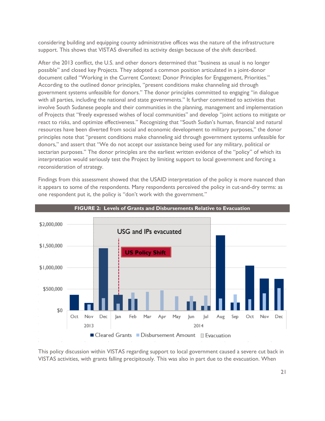considering building and equipping county administrative offices was the nature of the infrastructure support. This shows that VISTAS diversified its activity design because of the shift described.

After the 2013 conflict, the U.S. and other donors determined that "business as usual is no longer possible" and closed key Projects. They adopted a common position articulated in a joint-donor document called "Working in the Current Context: Donor Principles for Engagement, Priorities." According to the outlined donor principles, "present conditions make channeling aid through government systems unfeasible for donors." The donor principles committed to engaging "in dialogue with all parties, including the national and state governments." It further committed to activities that involve South Sudanese people and their communities in the planning, management and implementation of Projects that "freely expressed wishes of local communities" and develop "joint actions to mitigate or react to risks, and optimize effectiveness." Recognizing that "South Sudan's human, financial and natural resources have been diverted from social and economic development to military purposes," the donor principles note that "present conditions make channeling aid through government systems unfeasible for donors," and assert that "We do not accept our assistance being used for any military, political or sectarian purposes." The donor principles are the earliest written evidence of the "policy" of which its interpretation would seriously test the Project by limiting support to local government and forcing a reconsideration of strategy.

Findings from this assessment showed that the USAID interpretation of the policy is more nuanced than it appears to some of the respondents. Many respondents perceived the policy in cut-and-dry terms: as one respondent put it, the policy is "don't work with the government."



This policy discussion within VISTAS regarding support to local government caused a severe cut back in VISTAS activities, with grants falling precipitously. This was also in part due to the evacuation. When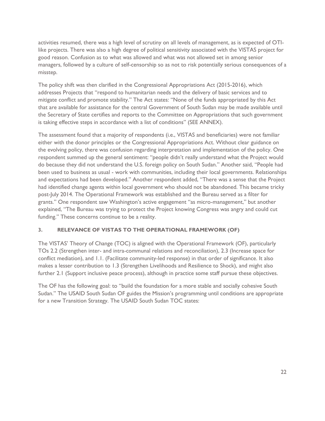activities resumed, there was a high level of scrutiny on all levels of management, as is expected of OTIlike projects. There was also a high degree of political sensitivity associated with the VISTAS project for good reason. Confusion as to what was allowed and what was not allowed set in among senior managers, followed by a culture of self-censorship so as not to risk potentially serious consequences of a misstep.

The policy shift was then clarified in the Congressional Appropriations Act (2015-2016), which addresses Projects that "respond to humanitarian needs and the delivery of basic services and to mitigate conflict and promote stability." The Act states: "None of the funds appropriated by this Act that are available for assistance for the central Government of South Sudan may be made available until the Secretary of State certifies and reports to the Committee on Appropriations that such government is taking effective steps in accordance with a list of conditions" (SEE ANNEX).

The assessment found that a majority of respondents (i.e., VISTAS and beneficiaries) were not familiar either with the donor principles or the Congressional Appropriations Act. Without clear guidance on the evolving policy, there was confusion regarding interpretation and implementation of the policy. One respondent summed up the general sentiment: "people didn't really understand what the Project would do because they did not understand the U.S. foreign policy on South Sudan." Another said, "People had been used to business as usual - work with communities, including their local governments. Relationships and expectations had been developed." Another respondent added, "There was a sense that the Project had identified change agents within local government who should not be abandoned. This became tricky post-July 2014. The Operational Framework was established and the Bureau served as a filter for grants." One respondent saw Washington's active engagement "as micro-management," but another explained, "The Bureau was trying to protect the Project knowing Congress was angry and could cut funding." These concerns continue to be a reality.

# **3. RELEVANCE OF VISTAS TO THE OPERATIONAL FRAMEWORK (OF)**

The VISTAS' Theory of Change (TOC) is aligned with the Operational Framework (OF), particularly TOs 2.2 (Strengthen inter- and intra-communal relations and reconciliation), 2.3 (Increase space for conflict mediation), and 1.1. (Facilitate community-led response) in that order of significance. It also makes a lesser contribution to 1.3 (Strengthen Livelihoods and Resilience to Shock), and might also further 2.1 (Support inclusive peace process), although in practice some staff pursue these objectives.

The OF has the following goal: to "build the foundation for a more stable and socially cohesive South Sudan." The USAID South Sudan OF guides the Mission's programming until conditions are appropriate for a new Transition Strategy. The USAID South Sudan TOC states: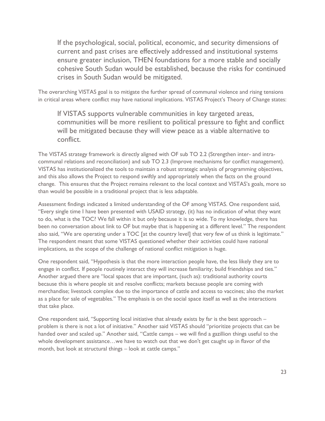If the psychological, social, political, economic, and security dimensions of current and past crises are effectively addressed and institutional systems ensure greater inclusion, THEN foundations for a more stable and socially cohesive South Sudan would be established, because the risks for continued crises in South Sudan would be mitigated.

The overarching VISTAS goal is to mitigate the further spread of communal violence and rising tensions in critical areas where conflict may have national implications. VISTAS Project's Theory of Change states:

If VISTAS supports vulnerable communities in key targeted areas, communities will be more resilient to political pressure to fight and conflict will be mitigated because they will view peace as a viable alternative to conflict.

The VISTAS strategy framework is directly aligned with OF sub TO 2.2 (Strengthen inter- and intracommunal relations and reconciliation) and sub TO 2.3 (Improve mechanisms for conflict management). VISTAS has institutionalized the tools to maintain a robust strategic analysis of programming objectives, and this also allows the Project to respond swiftly and appropriately when the facts on the ground change. This ensures that the Project remains relevant to the local context and VISTAS's goals, more so than would be possible in a traditional project that is less adaptable.

Assessment findings indicated a limited understanding of the OF among VISTAS. One respondent said, "Every single time I have been presented with USAID strategy, (it) has no indication of what they want to do, what is the TOC? We fall within it but only because it is so wide. To my knowledge, there has been no conversation about link to OF but maybe that is happening at a different level." The respondent also said, "We are operating under a TOC [at the country level] that very few of us think is legitimate." The respondent meant that some VISTAS questioned whether their activities could have national implications, as the scope of the challenge of national conflict mitigation is huge.

One respondent said, "Hypothesis is that the more interaction people have, the less likely they are to engage in conflict. If people routinely interact they will increase familiarity; build friendships and ties." Another argued there are "local spaces that are important, (such as): traditional authority courts because this is where people sit and resolve conflicts; markets because people are coming with merchandise; livestock complex due to the importance of cattle and access to vaccines; also the market as a place for sale of vegetables." The emphasis is on the social space itself as well as the interactions that take place.

One respondent said, "Supporting local initiative that already exists by far is the best approach – problem is there is not a lot of initiative." Another said VISTAS should "prioritize projects that can be handed over and scaled up." Another said, "Cattle camps – we will find a gazillion things useful to the whole development assistance…we have to watch out that we don't get caught up in flavor of the month, but look at structural things – look at cattle camps."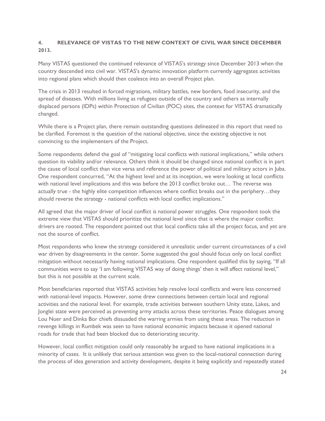# **4. RELEVANCE OF VISTAS TO THE NEW CONTEXT OF CIVIL WAR SINCE DECEMBER 2013.**

Many VISTAS questioned the continued relevance of VISTAS's strategy since December 2013 when the country descended into civil war. VISTAS's dynamic innovation platform currently aggregates activities into regional plans which should then coalesce into an overall Project plan.

The crisis in 2013 resulted in forced migrations, military battles, new borders, food insecurity, and the spread of diseases. With millions living as refugees outside of the country and others as internally displaced persons (IDPs) within Protection of Civilian (POC) sites, the context for VISTAS dramatically changed.

While there is a Project plan, there remain outstanding questions delineated in this report that need to be clarified. Foremost is the question of the national objective, since the existing objective is not convincing to the implementers of the Project.

Some respondents defend the goal of "mitigating local conflicts with national implications," while others question its viability and/or relevance. Others think it should be changed since national conflict is in part the cause of local conflict than vice versa and reference the power of political and military actors in Juba. One respondent concurred, "At the highest level and at its inception, we were looking at local conflicts with national level implications and this was before the 2013 conflict broke out… The reverse was actually true - the highly elite competition influences where conflict breaks out in the periphery…they should reverse the strategy - national conflicts with local conflict implications."

All agreed that the major driver of local conflict is national power struggles. One respondent took the extreme view that VISTAS should prioritize the national level since that is where the major conflict drivers are rooted. The respondent pointed out that local conflicts take all the project focus, and yet are not the source of conflict.

Most respondents who knew the strategy considered it unrealistic under current circumstances of a civil war driven by disagreements in the center. Some suggested the goal should focus only on local conflict mitigation without necessarily having national implications. One respondent qualified this by saying, "If all communities were to say 'I am following VISTAS way of doing things' then it will affect national level," but this is not possible at the current scale.

Most beneficiaries reported that VISTAS activities help resolve local conflicts and were less concerned with national-level impacts. However, some drew connections between certain local and regional activities and the national level. For example, trade activities between southern Unity state, Lakes, and Jonglei state were perceived as preventing army attacks across these territories. Peace dialogues among Lou Nuer and Dinka Bor chiefs dissuaded the warring armies from using these areas. The reduction in revenge killings in Rumbek was seen to have national economic impacts because it opened national roads for trade that had been blocked due to deteriorating security.

However, local conflict mitigation could only reasonably be argued to have national implications in a minority of cases. It is unlikely that serious attention was given to the local-national connection during the process of idea generation and activity development, despite it being explicitly and repeatedly stated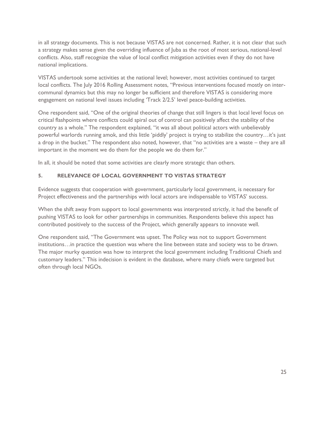in all strategy documents. This is not because VISTAS are not concerned. Rather, it is not clear that such a strategy makes sense given the overriding influence of Juba as the root of most serious, national-level conflicts. Also, staff recognize the value of local conflict mitigation activities even if they do not have national implications.

VISTAS undertook some activities at the national level; however, most activities continued to target local conflicts. The July 2016 Rolling Assessment notes, "Previous interventions focused mostly on intercommunal dynamics but this may no longer be sufficient and therefore VISTAS is considering more engagement on national level issues including 'Track 2/2.5' level peace-building activities.

One respondent said, "One of the original theories of change that still lingers is that local level focus on critical flashpoints where conflicts could spiral out of control can positively affect the stability of the country as a whole." The respondent explained, "it was all about political actors with unbelievably powerful warlords running amok, and this little 'piddly' project is trying to stabilize the country…it's just a drop in the bucket." The respondent also noted, however, that "no activities are a waste – they are all important in the moment we do them for the people we do them for."

In all, it should be noted that some activities are clearly more strategic than others.

# **5. RELEVANCE OF LOCAL GOVERNMENT TO VISTAS STRATEGY**

Evidence suggests that cooperation with government, particularly local government, is necessary for Project effectiveness and the partnerships with local actors are indispensable to VISTAS' success.

When the shift away from support to local governments was interpreted strictly, it had the benefit of pushing VISTAS to look for other partnerships in communities. Respondents believe this aspect has contributed positively to the success of the Project, which generally appears to innovate well.

One respondent said, "The Government was upset. The Policy was not to support Government institutions…in practice the question was where the line between state and society was to be drawn. The major murky question was how to interpret the local government including Traditional Chiefs and customary leaders." This indecision is evident in the database, where many chiefs were targeted but often through local NGOs.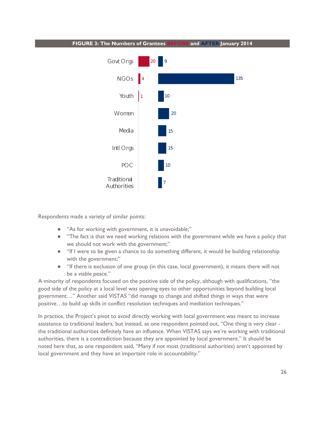

Respondents made a variety of similar points:

- "As for working with government, it is unavoidable;"
- "The fact is that we need working relations with the government while we have a policy that we should not work with the government;"
- "If I were to be given a chance to do something different, it would be building relationship with the government;"
- "If there is exclusion of one group (in this case, local government), it means there will not be a viable peace."

A minority of respondents focused on the positive side of the policy, although with qualifications, "the good side of the policy at a local level was opening eyes to other opportunities beyond building local government…" Another said VISTAS "did manage to change and shifted things in ways that were positive…to build up skills in conflict resolution techniques and mediation techniques."

In practice, the Project's pivot to avoid directly working with local government was meant to increase assistance to traditional leaders, but instead, as one respondent pointed out, "One thing is very clear the traditional authorities definitely have an influence. When VISTAS says we're working with traditional authorities, there is a contradiction because they are appointed by local government." It should be noted here that, as one respondent said, "Many if not most (traditional authorities) aren't appointed by local government and they have an important role in accountability."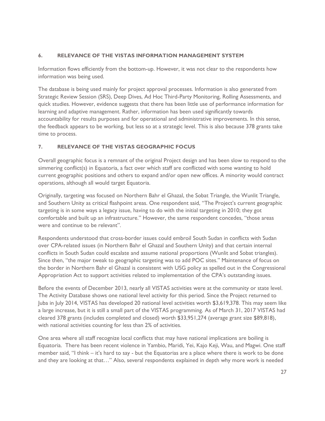# **6. RELEVANCE OF THE VISTAS INFORMATION MANAGEMENT SYSTEM**

Information flows efficiently from the bottom-up. However, it was not clear to the respondents how information was being used.

The database is being used mainly for project approval processes. Information is also generated from Strategic Review Session (SRS), Deep Dives, Ad Hoc Third-Party Monitoring, Rolling Assessments, and quick studies. However, evidence suggests that there has been little use of performance information for learning and adaptive management. Rather, information has been used significantly towards accountability for results purposes and for operational and administrative improvements. In this sense, the feedback appears to be working, but less so at a strategic level. This is also because 378 grants take time to process.

# **7. RELEVANCE OF THE VISTAS GEOGRAPHIC FOCUS**

Overall geographic focus is a remnant of the original Project design and has been slow to respond to the simmering conflict(s) in Equatoria, a fact over which staff are conflicted with some wanting to hold current geographic positions and others to expand and/or open new offices. A minority would contract operations, although all would target Equatoria.

Originally, targeting was focused on Northern Bahr el Ghazal, the Sobat Triangle, the Wunlit Triangle, and Southern Unity as critical flashpoint areas. One respondent said, "The Project's current geographic targeting is in some ways a legacy issue, having to do with the initial targeting in 2010; they got comfortable and built up an infrastructure." However, the same respondent concedes, "those areas were and continue to be relevant".

Respondents understood that cross-border issues could embroil South Sudan in conflicts with Sudan over CPA-related issues (in Northern Bahr el Ghazal and Southern Unity) and that certain internal conflicts in South Sudan could escalate and assume national proportions (Wunlit and Sobat triangles). Since then, "the major tweak to geographic targeting was to add POC sites." Maintenance of focus on the border in Northern Bahr el Ghazal is consistent with USG policy as spelled out in the Congressional Appropriation Act to support activities related to implementation of the CPA's outstanding issues.

Before the events of December 2013, nearly all VISTAS activities were at the community or state level. The Activity Database shows one national level activity for this period. Since the Project returned to Juba in July 2014, VISTAS has developed 20 national level activities worth \$3,619,378. This may seem like a large increase, but it is still a small part of the VISTAS programming. As of March 31, 2017 VISTAS had cleared 378 grants (includes completed and closed) worth \$33,951,274 (average grant size \$89,818), with national activities counting for less than 2% of activities.

One area where all staff recognize local conflicts that may have national implications are boiling is Equatoria. There has been recent violence in Yambio, Maridi, Yei, Kajo Keji, Wau, and Magwi. One staff member said, "I think – it's hard to say - but the Equatorias are a place where there is work to be done and they are looking at that…" Also, several respondents explained in depth why more work is needed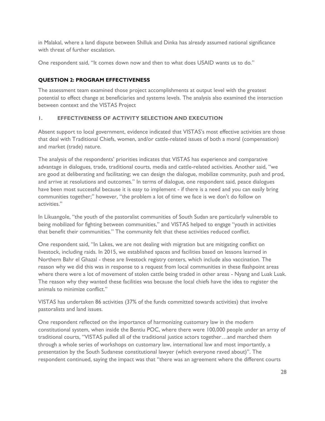in Malakal, where a land dispute between Shilluk and Dinka has already assumed national significance with threat of further escalation.

One respondent said, "It comes down now and then to what does USAID wants us to do."

# <span id="page-27-0"></span>**QUESTION 2: PROGRAM EFFECTIVENESS**

The assessment team examined those project accomplishments at output level with the greatest potential to effect change at beneficiaries and systems levels. The analysis also examined the interaction between context and the VISTAS Project

# **1. EFFECTIVENESS OF ACTIVITY SELECTION AND EXECUTION**

Absent support to local government, evidence indicated that VISTAS's most effective activities are those that deal with Traditional Chiefs, women, and/or cattle-related issues of both a moral (compensation) and market (trade) nature.

The analysis of the respondents' priorities indicates that VISTAS has experience and comparative advantage in dialogues, trade, traditional courts, media and cattle-related activities. Another said, "we are good at deliberating and facilitating; we can design the dialogue, mobilize community, push and prod, and arrive at resolutions and outcomes." In terms of dialogue, one respondent said, peace dialogues have been most successful because it is easy to implement - if there is a need and you can easily bring communities together;" however, "the problem a lot of time we face is we don't do follow on activities."

In Likuangole, "the youth of the pastoralist communities of South Sudan are particularly vulnerable to being mobilized for fighting between communities," and VISTAS helped to engage "youth in activities that benefit their communities." The community felt that these activities reduced conflict.

One respondent said, "In Lakes, we are not dealing with migration but are mitigating conflict on livestock, including raids. In 2015, we established spaces and facilities based on lessons learned in Northern Bahr el Ghazal - these are livestock registry centers, which include also vaccination. The reason why we did this was in response to a request from local communities in these flashpoint areas where there were a lot of movement of stolen cattle being traded in other areas - Nyang and Luak Luak. The reason why they wanted these facilities was because the local chiefs have the idea to register the animals to minimize conflict."

VISTAS has undertaken 86 activities (37% of the funds committed towards activities) that involve pastoralists and land issues.

One respondent reflected on the importance of harmonizing customary law in the modern constitutional system, when inside the Bentiu POC, where there were 100,000 people under an array of traditional courts, "VISTAS pulled all of the traditional justice actors together…and marched them through a whole series of workshops on customary law, international law and most importantly, a presentation by the South Sudanese constitutional lawyer (which everyone raved about)". The respondent continued, saying the impact was that "there was an agreement where the different courts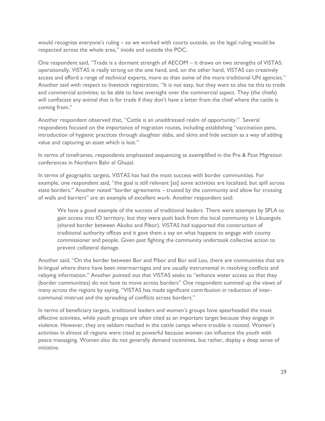would recognize everyone's ruling – so we worked with courts outside, so the legal ruling would be respected across the whole area," inside and outside the POC.

One respondent said, "Trade is a dormant strength of AECOM – it draws on two strengths of VISTAS: operationally, VISTAS is really strong on the one hand, and, on the other hand, VISTAS can creatively access and afford a range of technical experts, more so than some of the more traditional UN agencies." Another said with respect to livestock registration, "It is not easy, but they want to also tie this to trade and commercial activities; to be able to have oversight over the commercial aspect. They (the chiefs) will confiscate any animal that is for trade if they don't have a letter from the chief where the cattle is coming from."

Another respondent observed that, "Cattle is an unaddressed realm of opportunity." Several respondents focused on the importance of migration routes, including establishing "vaccination pens, introduction of hygienic practices through slaughter slabs, and skins and hide section as a way of adding value and capturing an asset which is lost."

In terms of timeframes, respondents emphasized sequencing as exemplified in the Pre & Post Migration conferences in Northern Bahr el Ghazal.

In terms of geographic targets, VISTAS has had the most success with border communities. For example, one respondent said, "the goal is still relevant [as] some activities are localized, but spill across state borders." Another noted "border agreements – trusted by the community and allow for crossing of walls and barriers" are an example of excellent work. Another respondent said:

We have a good example of the success of traditional leaders. There were attempts by SPLA to gain access into IO territory, but they were push back from the local community in Likuangole (shared border between Akobo and Pibor). VISTAS had supported the construction of traditional authority offices and it gave them a say on what happens to engage with county commissioner and people. Given past fighting the community undertook collective action to prevent collateral damage.

Another said, "On the border between Bor and Pibor and Bor and Lou, there are communities that are bi-lingual where there have been intermarriages and are usually instrumental in resolving conflicts and relaying information." Another pointed out that VISTAS seeks to "enhance water access so that they (border communities) do not have to move across borders" One respondent summed up the views of many across the regions by saying, "VISTAS has made significant contribution in reduction of intercommunal mistrust and the spreading of conflicts across borders."

In terms of beneficiary targets, traditional leaders and women's groups have spearheaded the most effective activities, while youth groups are often cited as an important target because they engage in violence. However, they are seldom reached in the cattle camps where trouble is rooted. Women's activities in almost all regions were cited as powerful because women can influence the youth with peace messaging. Women also do not generally demand incentives, but rather, display a deep sense of initiative.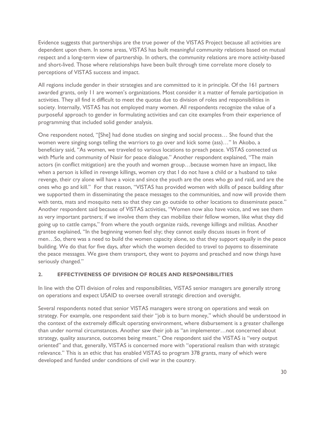Evidence suggests that partnerships are the true power of the VISTAS Project because all activities are dependent upon them. In some areas, VISTAS has built meaningful community relations based on mutual respect and a long-term view of partnership. In others, the community relations are more activity-based and short-lived. Those where relationships have been built through time correlate more closely to perceptions of VISTAS success and impact.

All regions include gender in their strategies and are committed to it in principle. Of the 161 partners awarded grants, only 11 are women's organizations. Most consider it a matter of female participation in activities. They all find it difficult to meet the quotas due to division of roles and responsibilities in society. Internally, VISTAS has not employed many women. All respondents recognize the value of a purposeful approach to gender in formulating activities and can cite examples from their experience of programming that included solid gender analysis.

One respondent noted, "[She] had done studies on singing and social process… She found that the women were singing songs telling the warriors to go over and kick some (ass)…" In Akobo, a beneficiary said, "As women, we traveled to various locations to preach peace. VISTAS connected us with Murle and community of Nasir for peace dialogue." Another respondent explained, "The main actors (in conflict mitigation) are the youth and women group…because women have an impact, like when a person is killed in revenge killings, women cry that I do not have a child or a husband to take revenge, their cry alone will have a voice and since the youth are the ones who go and raid, and are the ones who go and kill." For that reason, "VISTAS has provided women with skills of peace building after we supported them in disseminating the peace messages to the communities, and now will provide them with tents, mats and mosquito nets so that they can go outside to other locations to disseminate peace." Another respondent said because of VISTAS activities, "Women now also have voice, and we see them as very important partners; if we involve them they can mobilize their fellow women, like what they did going up to cattle camps," from where the youth organize raids, revenge killings and militias. Another grantee explained, "In the beginning women feel shy; they cannot easily discuss issues in front of men…So, there was a need to build the women capacity alone, so that they support equally in the peace building. We do that for five days, after which the women decided to travel to *payams* to disseminate the peace messages. We gave them transport, they went to *payams* and preached and now things have seriously changed."

#### **2. EFFECTIVENESS OF DIVISION OF ROLES AND RESPONSIBILITIES**

In line with the OTI division of roles and responsibilities, VISTAS senior managers are generally strong on operations and expect USAID to oversee overall strategic direction and oversight.

Several respondents noted that senior VISTAS managers were strong on operations and weak on strategy. For example, one respondent said their "job is to burn money," which should be understood in the context of the extremely difficult operating environment, where disbursement is a greater challenge than under normal circumstances. Another saw their job as "an implementer…not concerned about strategy, quality assurance, outcomes being meant." One respondent said the VISTAS is "very output oriented" and that, generally, VISTAS is concerned more with "operational realism than with strategic relevance." This is an ethic that has enabled VISTAS to program 378 grants, many of which were developed and funded under conditions of civil war in the country.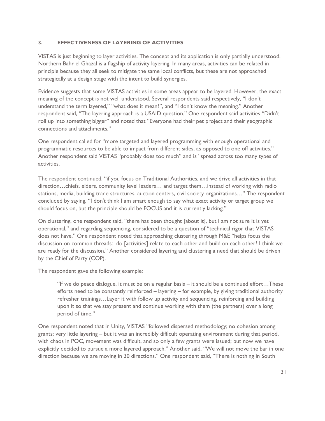#### **3. EFFECTIVENESS OF LAYERING OF ACTIVITIES**

VISTAS is just beginning to layer activities. The concept and its application is only partially understood. Northern Bahr el Ghazal is a flagship of activity layering. In many areas, activities can be related in principle because they all seek to mitigate the same local conflicts, but these are not approached strategically at a design stage with the intent to build synergies.

Evidence suggests that some VISTAS activities in some areas appear to be layered. However, the exact meaning of the concept is not well understood. Several respondents said respectively, "I don't understand the term layered," "what does it mean?", and "I don't know the meaning." Another respondent said, "The layering approach is a USAID question." One respondent said activities "Didn't roll up into something bigger" and noted that "Everyone had their pet project and their geographic connections and attachments."

One respondent called for "more targeted and layered programming with enough operational and programmatic resources to be able to impact from different sides, as opposed to one off activities." Another respondent said VISTAS "probably does too much" and is "spread across too many types of activities.

The respondent continued, "if you focus on Traditional Authorities, and we drive all activities in that direction…chiefs, elders, community level leaders… and target them…instead of working with radio stations, media, building trade structures, auction centers, civil society organizations…" The respondent concluded by saying, "I don't think I am smart enough to say what exact activity or target group we should focus on, but the principle should be FOCUS and it is currently lacking."

On clustering, one respondent said, "there has been thought [about it], but I am not sure it is yet operational," and regarding sequencing, considered to be a question of "technical rigor that VISTAS does not have." One respondent noted that approaching clustering through M&E "helps focus the discussion on common threads: do [activities] relate to each other and build on each other? I think we are ready for the discussion." Another considered layering and clustering a need that should be driven by the Chief of Party (COP).

The respondent gave the following example:

"If we do peace dialogue, it must be on a regular basis – it should be a continued effort…These efforts need to be constantly reinforced – layering – for example, by giving traditional authority refresher trainings…Layer it with follow up activity and sequencing, reinforcing and building upon it so that we stay present and continue working with them (the partners) over a long period of time."

One respondent noted that in Unity, VISTAS "followed dispersed methodology; no cohesion among grants; very little layering – but it was an incredibly difficult operating environment during that period, with chaos in POC, movement was difficult, and so only a few grants were issued; but now we have explicitly decided to pursue a more layered approach." Another said, "We will not move the bar in one direction because we are moving in 30 directions." One respondent said, "There is nothing in South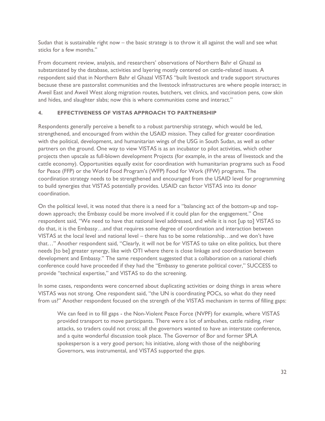Sudan that is sustainable right now – the basic strategy is to throw it all against the wall and see what sticks for a few months."

From document review, analysis, and researchers' observations of Northern Bahr el Ghazal as substantiated by the database, activities and layering mostly centered on cattle-related issues. A respondent said that in Northern Bahr el Ghazal VISTAS "built livestock and trade support structures because these are pastoralist communities and the livestock infrastructures are where people interact; in Aweil East and Aweil West along migration routes, butchers, vet clinics, and vaccination pens, cow skin and hides, and slaughter slabs; now this is where communities come and interact."

## **4. EFFECTIVENESS OF VISTAS APPROACH TO PARTNERSHIP**

Respondents generally perceive a benefit to a robust partnership strategy, which would be led, strengthened, and encouraged from within the USAID mission. They called for greater coordination with the political, development, and humanitarian wings of the USG in South Sudan, as well as other partners on the ground. One way to view VISTAS is as an incubator to pilot activities, which other projects then upscale as full-blown development Projects (for example, in the areas of livestock and the cattle economy). Opportunities equally exist for coordination with humanitarian programs such as Food for Peace (FFP) or the World Food Program's (WFP) Food for Work (FFW) programs. The coordination strategy needs to be strengthened and encouraged from the USAID level for programming to build synergies that VISTAS potentially provides. USAID can factor VISTAS into its donor coordination.

On the political level, it was noted that there is a need for a "balancing act of the bottom-up and topdown approach; the Embassy could be more involved if it could plan for the engagement." One respondent said, "We need to have that national level addressed, and while it is not [up to] VISTAS to do that, it is the Embassy…and that requires some degree of coordination and interaction between VISTAS at the local level and national level – there has to be some relationship…and we don't have that…" Another respondent said, "Clearly, it will not be for VISTAS to take on elite politics, but there needs [to be] greater synergy, like with OTI where there is close linkage and coordination between development and Embassy." The same respondent suggested that a collaboration on a national chiefs conference could have proceeded if they had the "Embassy to generate political cover," SUCCESS to provide "technical expertise," and VISTAS to do the screening.

In some cases, respondents were concerned about duplicating activities or doing things in areas where VISTAS was not strong. One respondent said, "the UN is coordinating POCs, so what do they need from us?" Another respondent focused on the strength of the VISTAS mechanism in terms of filling gaps:

We can feed in to fill gaps - the Non-Violent Peace Force (NVPF) for example, where VISTAS provided transport to move participants. There were a lot of ambushes, cattle raiding, river attacks, so traders could not cross; all the governors wanted to have an interstate conference, and a quite wonderful discussion took place. The Governor of Bor and former SPLA spokesperson is a very good person; his initiative, along with those of the neighboring Governors, was instrumental, and VISTAS supported the gaps.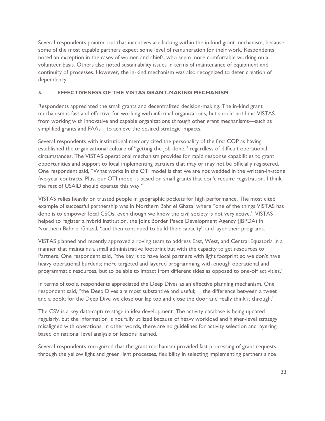Several respondents pointed out that incentives are lacking within the in-kind grant mechanism, because some of the most capable partners expect some level of remuneration for their work. Respondents noted an exception in the cases of women and chiefs, who seem more comfortable working on a volunteer basis. Others also noted sustainability issues in terms of maintenance of equipment and continuity of processes. However, the in-kind mechanism was also recognized to deter creation of dependency.

## **5. EFFECTIVENESS OF THE VISTAS GRANT-MAKING MECHANISM**

Respondents appreciated the small grants and decentralized decision-making. The in-kind grant mechanism is fast and effective for working with informal organizations, but should not limit VISTAS from working with innovative and capable organizations through other grant mechanisms—such as simplified grants and FAAs—to achieve the desired strategic impacts.

Several respondents with institutional memory cited the personality of the first COP as having established the organizational culture of "getting the job done," regardless of difficult operational circumstances. The VISTAS operational mechanism provides for rapid response capabilities to grant opportunities and support to local implementing partners that may or may not be officially registered. One respondent said, "What works in the OTI model is that we are not wedded in the written-in-stone five-year contracts. Plus, our OTI model is based on small grants that don't require registration. I think the rest of USAID should operate this way."

VISTAS relies heavily on trusted people in geographic pockets for high performance. The most cited example of successful partnership was in Northern Bahr el Ghazal where "one of the things VISTAS has done is to empower local CSOs, even though we know the civil society is not very active." VISTAS helped to register a hybrid institution, the Joint Border Peace Development Agency (JBPDA) in Northern Bahr el Ghazal, "and then continued to build their capacity" and layer their programs.

VISTAS planned and recently approved a roving team to address East, West, and Central Equatoria in a manner that maintains a small administrative footprint but with the capacity to get resources to Partners. One respondent said, "the key is to have local partners with light footprint so we don't have heavy operational burdens; more targeted and layered programming with enough operational and programmatic resources, but to be able to impact from different sides as opposed to one-off activities."

In terms of tools, respondents appreciated the Deep Dives as an effective planning mechanism. One respondent said, "the Deep Dives are most substantive and useful; …the difference between a tweet and a book; for the Deep Dive we close our lap top and close the door and really think it through."

The CSV is a key data-capture stage in idea development. The activity database is being updated regularly, but the information is not fully utilized because of heavy workload and higher-level strategy misaligned with operations. In other words, there are no guidelines for activity selection and layering based on national level analysis or lessons learned.

Several respondents recognized that the grant mechanism provided fast processing of grant requests through the yellow light and green light processes, flexibility in selecting implementing partners since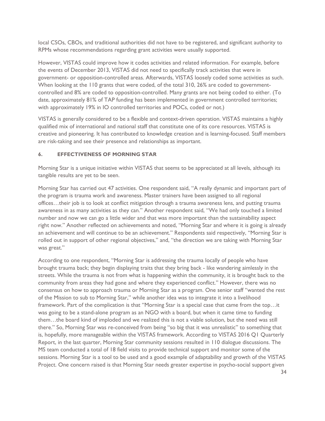local CSOs, CBOs, and traditional authorities did not have to be registered, and significant authority to RPMs whose recommendations regarding grant activities were usually supported.

However, VISTAS could improve how it codes activities and related information. For example, before the events of December 2013, VISTAS did not need to specifically track activities that were in government- or opposition-controlled areas. Afterwards, VISTAS loosely coded some activities as such. When looking at the 110 grants that were coded, of the total 310, 26% are coded to governmentcontrolled and 8% are coded to opposition-controlled. Many grants are not being coded to either. (To date, approximately 81% of TAP funding has been implemented in government controlled territories; with approximately 19% in IO controlled territories and POCs, coded or not.)

VISTAS is generally considered to be a flexible and context-driven operation. VISTAS maintains a highly qualified mix of international and national staff that constitute one of its core resources. VISTAS is creative and pioneering. It has contributed to knowledge creation and is learning-focused. Staff members are risk-taking and see their presence and relationships as important.

#### **6. EFFECTIVENESS OF MORNING STAR**

Morning Star is a unique initiative within VISTAS that seems to be appreciated at all levels, although its tangible results are yet to be seen.

Morning Star has carried out 47 activities. One respondent said, "A really dynamic and important part of the program is trauma work and awareness. Master trainers have been assigned to all regional offices…their job is to look at conflict mitigation through a trauma awareness lens, and putting trauma awareness in as many activities as they can." Another respondent said, "We had only touched a limited number and now we can go a little wider and that was more important than the sustainability aspect right now." Another reflected on achievements and noted, "Morning Star and where it is going is already an achievement and will continue to be an achievement." Respondents said respectively, "Morning Star is rolled out in support of other regional objectives," and, "the direction we are taking with Morning Star was great."

According to one respondent, "Morning Star is addressing the trauma locally of people who have brought trauma back; they begin displaying traits that they bring back - like wandering aimlessly in the streets. While the trauma is not from what is happening within the community, it is brought back to the community from areas they had gone and where they experienced conflict." However, there was no consensus on how to approach trauma or Morning Star as a program. One senior staff "wanted the rest of the Mission to sub to Morning Star," while another idea was to integrate it into a livelihood framework. Part of the complication is that "Morning Star is a special case that came from the top…it was going to be a stand-alone program as an NGO with a board, but when it came time to funding them…the board kind of imploded and we realized this is not a viable solution, but the need was still there." So, Morning Star was re-conceived from being "so big that it was unrealistic" to something that is, hopefully, more manageable within the VISTAS framework. According to VISTAS 2016 Q1 Quarterly Report, in the last quarter, Morning Star community sessions resulted in 110 dialogue discussions. The MS team conducted a total of 18 field visits to provide technical support and monitor some of the sessions. Morning Star is a tool to be used and a good example of adaptability and growth of the VISTAS Project. One concern raised is that Morning Star needs greater expertise in psycho-social support given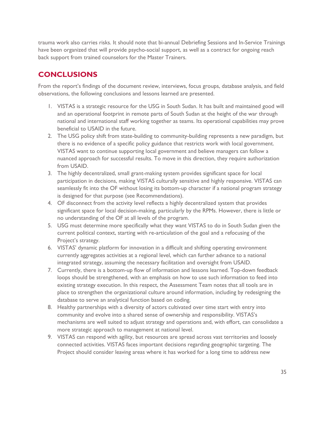trauma work also carries risks. It should note that bi-annual Debriefing Sessions and In-Service Trainings have been organized that will provide psycho-social support, as well as a contract for ongoing reach back support from trained counselors for the Master Trainers.

# <span id="page-34-0"></span>**CONCLUSIONS**

From the report's findings of the document review, interviews, focus groups, database analysis, and field observations, the following conclusions and lessons learned are presented.

- 1. VISTAS is a strategic resource for the USG in South Sudan. It has built and maintained good will and an operational footprint in remote parts of South Sudan at the height of the war through national and international staff working together as teams. Its operational capabilities may prove beneficial to USAID in the future.
- 2. The USG policy shift from state-building to community-building represents a new paradigm, but there is no evidence of a specific policy guidance that restricts work with local government. VISTAS want to continue supporting local government and believe managers can follow a nuanced approach for successful results. To move in this direction, they require authorization from USAID.
- 3. The highly decentralized, small grant-making system provides significant space for local participation in decisions, making VISTAS culturally sensitive and highly responsive. VISTAS can seamlessly fit into the OF without losing its bottom-up character if a national program strategy is designed for that purpose (see Recommendations).
- 4. OF disconnect from the activity level reflects a highly decentralized system that provides significant space for local decision-making, particularly by the RPMs. However, there is little or no understanding of the OF at all levels of the program.
- 5. USG must determine more specifically what they want VISTAS to do in South Sudan given the current political context, starting with re-articulation of the goal and a refocusing of the Project's strategy.
- 6. VISTAS' dynamic platform for innovation in a difficult and shifting operating environment currently aggregates activities at a regional level, which can further advance to a national integrated strategy, assuming the necessary facilitation and oversight from USAID.
- 7. Currently, there is a bottom-up flow of information and lessons learned. Top-down feedback loops should be strengthened, with an emphasis on how to use such information to feed into existing strategy execution. In this respect, the Assessment Team notes that all tools are in place to strengthen the organizational culture around information, including by redesigning the database to serve an analytical function based on coding.
- 8. Healthy partnerships with a diversity of actors cultivated over time start with entry into community and evolve into a shared sense of ownership and responsibility. VISTAS's mechanisms are well suited to adjust strategy and operations and, with effort, can consolidate a more strategic approach to management at national level.
- 9. VISTAS can respond with agility, but resources are spread across vast territories and loosely connected activities. VISTAS faces important decisions regarding geographic targeting. The Project should consider leaving areas where it has worked for a long time to address new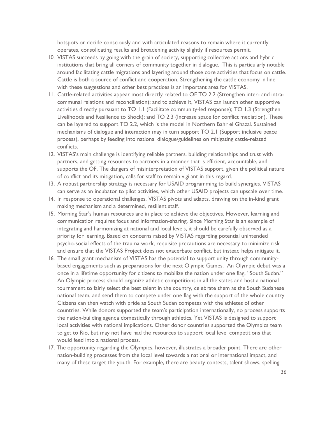hotspots or decide consciously and with articulated reasons to remain where it currently operates, consolidating results and broadening activity slightly if resources permit.

- 10. VISTAS succeeds by going with the grain of society, supporting collective actions and hybrid institutions that bring all corners of community together in dialogue. This is particularly notable around facilitating cattle migrations and layering around those core activities that focus on cattle. Cattle is both a source of conflict and cooperation. Strengthening the cattle economy in line with these suggestions and other best practices is an important area for VISTAS.
- 11. Cattle-related activities appear most directly related to OF TO 2.2 (Strengthen inter- and intracommunal relations and reconciliation); and to achieve it, VISTAS can launch other supportive activities directly pursuant to TO 1.1 (Facilitate community-led response); TO 1.3 (Strengthen Livelihoods and Resilience to Shock); and TO 2.3 (Increase space for conflict mediation). These can be layered to support TO 2.2, which is the model in Northern Bahr el Ghazal. Sustained mechanisms of dialogue and interaction may in turn support TO 2.1 (Support inclusive peace process), perhaps by feeding into national dialogue/guidelines on mitigating cattle-related conflicts.
- 12. VISTAS's main challenge is identifying reliable partners, building relationships and trust with partners, and getting resources to partners in a manner that is efficient, accountable, and supports the OF. The dangers of misinterpretation of VISTAS support, given the political nature of conflict and its mitigation, calls for staff to remain vigilant in this regard.
- 13. A robust partnership strategy is necessary for USAID programming to build synergies. VISTAS can serve as an incubator to pilot activities, which other USAID projects can upscale over time.
- 14. In response to operational challenges, VISTAS pivots and adapts, drawing on the in-kind grant making mechanism and a determined, resilient staff.
- 15. Morning Star's human resources are in place to achieve the objectives. However, learning and communication requires focus and information-sharing. Since Morning Star is an example of integrating and harmonizing at national and local levels, it should be carefully observed as a priority for learning. Based on concerns raised by VISTAS regarding potential unintended psycho-social effects of the trauma work, requisite precautions are necessary to minimize risk and ensure that the VISTAS Project does not exacerbate conflict, but instead helps mitigate it.
- 16. The small grant mechanism of VISTAS has the potential to support unity through communitybased engagements such as preparations for the next Olympic Games. An Olympic debut was a once in a lifetime opportunity for citizens to mobilize the nation under one flag, "South Sudan." An Olympic process should organize athletic competitions in all the states and host a national tournament to fairly select the best talent in the country, celebrate them as the South Sudanese national team, and send them to compete under one flag with the support of the whole country. Citizens can then watch with pride as South Sudan competes with the athletes of other countries. While donors supported the team's participation internationally, no process supports the nation-building agenda domestically through athletics. Yet VISTAS is designed to support local activities with national implications. Other donor countries supported the Olympics team to get to Rio, but may not have had the resources to support local level competitions that would feed into a national process.
- 17. The opportunity regarding the Olympics, however, illustrates a broader point. There are other nation-building processes from the local level towards a national or international impact, and many of these target the youth. For example, there are beauty contests, talent shows, spelling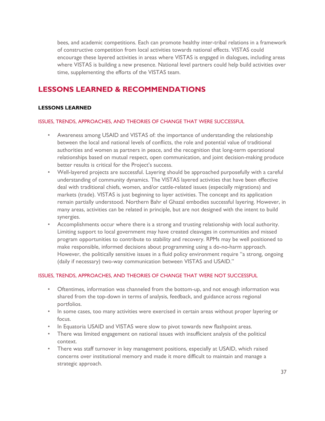bees, and academic competitions. Each can promote healthy inter-tribal relations in a framework of constructive competition from local activities towards national effects. VISTAS could encourage these layered activities in areas where VISTAS is engaged in dialogues, including areas where VISTAS is building a new presence. National level partners could help build activities over time, supplementing the efforts of the VISTAS team.

# <span id="page-36-0"></span>**LESSONS LEARNED & RECOMMENDATIONS**

#### <span id="page-36-1"></span>**LESSONS LEARNED**

#### ISSUES, TRENDS, APPROACHES, AND THEORIES OF CHANGE THAT WERE SUCCESSFUL

- Awareness among USAID and VISTAS of: the importance of understanding the relationship between the local and national levels of conflicts, the role and potential value of traditional authorities and women as partners in peace, and the recognition that long-term operational relationships based on mutual respect, open communication, and joint decision-making produce better results is critical for the Project's success.
- Well-layered projects are successful. Layering should be approached purposefully with a careful understanding of community dynamics. The VISTAS layered activities that have been effective deal with traditional chiefs, women, and/or cattle-related issues (especially migrations) and markets (trade). VISTAS is just beginning to layer activities. The concept and its application remain partially understood. Northern Bahr el Ghazal embodies successful layering. However, in many areas, activities can be related in principle, but are not designed with the intent to build synergies.
- Accomplishments occur where there is a strong and trusting relationship with local authority. Limiting support to local government may have created cleavages in communities and missed program opportunities to contribute to stability and recovery. RPMs may be well positioned to make responsible, informed decisions about programming using a do-no-harm approach. However, the politically sensitive issues in a fluid policy environment require "a strong, ongoing (daily if necessary) two-way communication between VISTAS and USAID."

#### ISSUES, TRENDS, APPROACHES, AND THEORIES OF CHANGE THAT WERE NOT SUCCESSFUL

- Oftentimes, information was channeled from the bottom-up, and not enough information was shared from the top-down in terms of analysis, feedback, and guidance across regional portfolios.
- In some cases, too many activities were exercised in certain areas without proper layering or focus.
- In Equatoria USAID and VISTAS were slow to pivot towards new flashpoint areas.
- There was limited engagement on national issues with insufficient analysis of the political context.
- There was staff turnover in key management positions, especially at USAID, which raised concerns over institutional memory and made it more difficult to maintain and manage a strategic approach.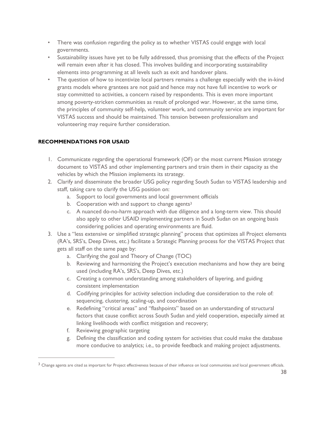- There was confusion regarding the policy as to whether VISTAS could engage with local governments.
- Sustainability issues have yet to be fully addressed, thus promising that the effects of the Project will remain even after it has closed. This involves building and incorporating sustainability elements into programming at all levels such as exit and handover plans.
- The question of how to incentivize local partners remains a challenge especially with the in-kind grants models where grantees are not paid and hence may not have full incentive to work or stay committed to activities, a concern raised by respondents. This is even more important among poverty-stricken communities as result of prolonged war. However, at the same time, the principles of community self-help, volunteer work, and community service are important for VISTAS success and should be maintained. This tension between professionalism and volunteering may require further consideration.

# <span id="page-37-0"></span>**RECOMMENDATIONS FOR USAID**

- 1. Communicate regarding the operational framework (OF) or the most current Mission strategy document to VISTAS and other implementing partners and train them in their capacity as the vehicles by which the Mission implements its strategy.
- 2. Clarify and disseminate the broader USG policy regarding South Sudan to VISTAS leadership and staff, taking care to clarify the USG position on:
	- a. Support to local governments and local government officials
	- b. Cooperation with and support to change agents<sup>3</sup>
	- c. A nuanced do-no-harm approach with due diligence and a long-term view. This should also apply to other USAID implementing partners in South Sudan on an ongoing basis considering policies and operating environments are fluid.
- 3. Use a "less extensive or simplified strategic planning" process that optimizes all Project elements (RA's, SRS's, Deep Dives, etc.) facilitate a Strategic Planning process for the VISTAS Project that gets all staff on the same page by:
	- a. Clarifying the goal and Theory of Change (TOC)
	- b. Reviewing and harmonizing the Project's execution mechanisms and how they are being used (including RA's, SRS's, Deep Dives, etc.)
	- c. Creating a common understanding among stakeholders of layering, and guiding consistent implementation
	- d. Codifying principles for activity selection including due consideration to the role of: sequencing, clustering, scaling-up, and coordination
	- e. Redefining "critical areas" and "flashpoints" based on an understanding of structural factors that cause conflict across South Sudan and yield cooperation, especially aimed at linking livelihoods with conflict mitigation and recovery;
	- f. Reviewing geographic targeting

 $\overline{a}$ 

g. Defining the classification and coding system for activities that could make the database more conducive to analytics; i.e., to provide feedback and making project adjustments.

<sup>&</sup>lt;sup>3</sup> Change agents are cited as important for Project effectiveness because of their influence on local communities and local government officials.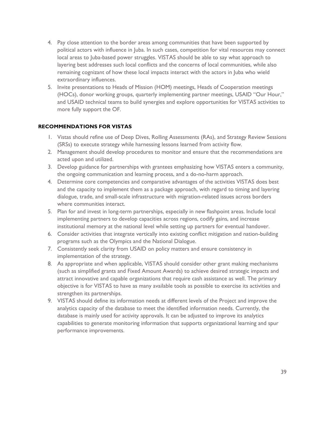- 4. Pay close attention to the border areas among communities that have been supported by political actors with influence in Juba. In such cases, competition for vital resources may connect local areas to Juba-based power struggles. VISTAS should be able to say what approach to layering best addresses such local conflicts and the concerns of local communities, while also remaining cognizant of how these local impacts interact with the actors in Juba who wield extraordinary influences.
- 5. Invite presentations to Heads of Mission (HOM) meetings, Heads of Cooperation meetings (HOCs), donor working groups, quarterly implementing partner meetings, USAID "Our Hour," and USAID technical teams to build synergies and explore opportunities for VISTAS activities to more fully support the OF.

## <span id="page-38-0"></span>**RECOMMENDATIONS FOR VISTAS**

- 1. Vistas should refine use of Deep Dives, Rolling Assessments (RAs), and Strategy Review Sessions (SRSs) to execute strategy while harnessing lessons learned from activity flow.
- 2. Management should develop procedures to monitor and ensure that the recommendations are acted upon and utilized.
- 3. Develop guidance for partnerships with grantees emphasizing how VISTAS enters a community, the ongoing communication and learning process, and a do-no-harm approach.
- 4. Determine core competencies and comparative advantages of the activities VISTAS does best and the capacity to implement them as a package approach, with regard to timing and layering dialogue, trade, and small-scale infrastructure with migration-related issues across borders where communities interact.
- 5. Plan for and invest in long-term partnerships, especially in new flashpoint areas. Include local implementing partners to develop capacities across regions, codify gains, and increase institutional memory at the national level while setting up partners for eventual handover.
- 6. Consider activities that integrate vertically into existing conflict mitigation and nation-building programs such as the Olympics and the National Dialogue.
- 7. Consistently seek clarity from USAID on policy matters and ensure consistency in implementation of the strategy.
- 8. As appropriate and when applicable, VISTAS should consider other grant making mechanisms (such as simplified grants and Fixed Amount Awards) to achieve desired strategic impacts and attract innovative and capable organizations that require cash assistance as well. The primary objective is for VISTAS to have as many available tools as possible to exercise its activities and strengthen its partnerships.
- 9. VISTAS should define its information needs at different levels of the Project and improve the analytics capacity of the database to meet the identified information needs. Currently, the database is mainly used for activity approvals. It can be adjusted to improve its analytics capabilities to generate monitoring information that supports organizational learning and spur performance improvements.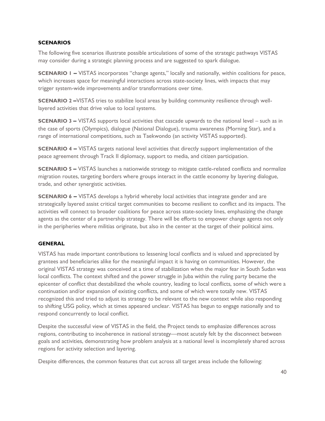#### <span id="page-39-0"></span>**SCENARIOS**

The following five scenarios illustrate possible articulations of some of the strategic pathways VISTAS may consider during a strategic planning process and are suggested to spark dialogue.

**SCENARIO 1 –** VISTAS incorporates "change agents," locally and nationally, within coalitions for peace, which increases space for meaningful interactions across state-society lines, with impacts that may trigger system-wide improvements and/or transformations over time.

**SCENARIO 2 - VISTAS tries to stabilize local areas by building community resilience through well**layered activities that drive value to local systems.

**SCENARIO 3 –** VISTAS supports local activities that cascade upwards to the national level – such as in the case of sports (Olympics), dialogue (National Dialogue), trauma awareness (Morning Star), and a range of international competitions, such as Taekwondo (an activity VISTAS supported).

**SCENARIO 4 -** VISTAS targets national level activities that directly support implementation of the peace agreement through Track II diplomacy, support to media, and citizen participation.

**SCENARIO 5 –** VISTAS launches a nationwide strategy to mitigate cattle-related conflicts and normalize migration routes, targeting borders where groups interact in the cattle economy by layering dialogue, trade, and other synergistic activities.

**SCENARIO 6** – VISTAS develops a hybrid whereby local activities that integrate gender and are strategically layered assist critical target communities to become resilient to conflict and its impacts. The activities will connect to broader coalitions for peace across state-society lines, emphasizing the change agents as the center of a partnership strategy. There will be efforts to empower change agents not only in the peripheries where militias originate, but also in the center at the target of their political aims.

# <span id="page-39-1"></span>**GENERAL**

VISTAS has made important contributions to lessening local conflicts and is valued and appreciated by grantees and beneficiaries alike for the meaningful impact it is having on communities. However, the original VISTAS strategy was conceived at a time of stabilization when the major fear in South Sudan was local conflicts. The context shifted and the power struggle in Juba within the ruling party became the epicenter of conflict that destabilized the whole country, leading to local conflicts, some of which were a continuation and/or expansion of existing conflicts, and some of which were totally new. VISTAS recognized this and tried to adjust its strategy to be relevant to the new context while also responding to shifting USG policy, which at times appeared unclear. VISTAS has begun to engage nationally and to respond concurrently to local conflict.

Despite the successful view of VISTAS in the field, the Project tends to emphasize differences across regions, contributing to incoherence in national strategy—most acutely felt by the disconnect between goals and activities, demonstrating how problem analysis at a national level is incompletely shared across regions for activity selection and layering.

Despite differences, the common features that cut across all target areas include the following: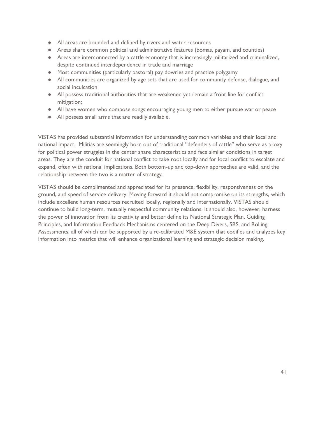- All areas are bounded and defined by rivers and water resources
- Areas share common political and administrative features (bomas, payam, and counties)
- Areas are interconnected by a cattle economy that is increasingly militarized and criminalized, despite continued interdependence in trade and marriage
- Most communities (particularly pastoral) pay dowries and practice polygamy
- All communities are organized by age sets that are used for community defense, dialogue, and social inculcation
- All possess traditional authorities that are weakened yet remain a front line for conflict mitigation;
- All have women who compose songs encouraging young men to either pursue war or peace
- All possess small arms that are readily available.

VISTAS has provided substantial information for understanding common variables and their local and national impact. Militias are seemingly born out of traditional "defenders of cattle" who serve as proxy for political power struggles in the center share characteristics and face similar conditions in target areas. They are the conduit for national conflict to take root locally and for local conflict to escalate and expand, often with national implications. Both bottom-up and top-down approaches are valid, and the relationship between the two is a matter of strategy.

VISTAS should be complimented and appreciated for its presence, flexibility, responsiveness on the ground, and speed of service delivery. Moving forward it should not compromise on its strengths, which include excellent human resources recruited locally, regionally and internationally. VISTAS should continue to build long-term, mutually respectful community relations. It should also, however, harness the power of innovation from its creativity and better define its National Strategic Plan, Guiding Principles, and Information Feedback Mechanisms centered on the Deep Divers, SRS, and Rolling Assessments, all of which can be supported by a re-calibrated M&E system that codifies and analyzes key information into metrics that will enhance organizational learning and strategic decision making.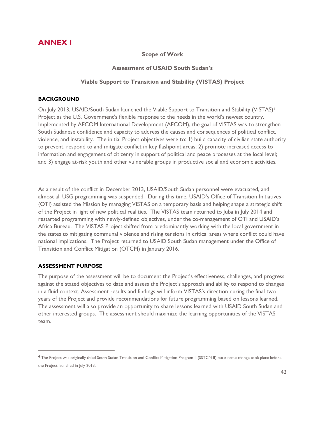# <span id="page-41-0"></span>**ANNEX I**

#### **Scope of Work**

#### **Assessment of USAID South Sudan's**

# **Viable Support to Transition and Stability (VISTAS) Project**

## <span id="page-41-1"></span>**BACKGROUND**

On July 2013, USAID/South Sudan launched the Viable Support to Transition and Stability (VISTAS)<sup>4</sup> Project as the U.S. Government's flexible response to the needs in the world's newest country. Implemented by AECOM International Development (AECOM), the goal of VISTAS was to strengthen South Sudanese confidence and capacity to address the causes and consequences of political conflict, violence, and instability. The initial Project objectives were to: 1) build capacity of civilian state authority to prevent, respond to and mitigate conflict in key flashpoint areas; 2) promote increased access to information and engagement of citizenry in support of political and peace processes at the local level; and 3) engage at-risk youth and other vulnerable groups in productive social and economic activities.

As a result of the conflict in December 2013, USAID/South Sudan personnel were evacuated, and almost all USG programming was suspended. During this time, USAID's Office of Transition Initiatives (OTI) assisted the Mission by managing VISTAS on a temporary basis and helping shape a strategic shift of the Project in light of new political realities. The VISTAS team returned to Juba in July 2014 and restarted programming with newly-defined objectives, under the co-management of OTI and USAID's Africa Bureau. The VISTAS Project shifted from predominantly working with the local government in the states to mitigating communal violence and rising tensions in critical areas where conflict could have national implications. The Project returned to USAID South Sudan management under the Office of Transition and Conflict Mitigation (OTCM) in January 2016.

# <span id="page-41-2"></span>**ASSESSMENT PURPOSE**

 $\overline{a}$ 

The purpose of the assessment will be to document the Project's effectiveness, challenges, and progress against the stated objectives to date and assess the Project's approach and ability to respond to changes in a fluid context. Assessment results and findings will inform VISTAS's direction during the final two years of the Project and provide recommendations for future programming based on lessons learned. The assessment will also provide an opportunity to share lessons learned with USAID South Sudan and other interested groups. The assessment should maximize the learning opportunities of the VISTAS team.

<sup>&</sup>lt;sup>4</sup> The Project was originally titled South Sudan Transition and Conflict Mitigation Program II (SSTCM II) but a name change took place before the Project launched in July 2013.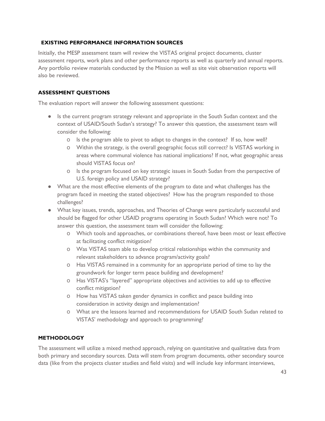# <span id="page-42-0"></span> **EXISTING PERFORMANCE INFORMATION SOURCES**

Initially, the MESP assessment team will review the VISTAS original project documents, cluster assessment reports, work plans and other performance reports as well as quarterly and annual reports. Any portfolio review materials conducted by the Mission as well as site visit observation reports will also be reviewed.

# <span id="page-42-1"></span>**ASSESSMENT QUESTIONS**

The evaluation report will answer the following assessment questions:

- Is the current program strategy relevant and appropriate in the South Sudan context and the context of USAID/South Sudan's strategy? To answer this question, the assessment team will consider the following:
	- o Is the program able to pivot to adapt to changes in the context? If so, how well?
	- o Within the strategy, is the overall geographic focus still correct? Is VISTAS working in areas where communal violence has national implications? If not, what geographic areas should VISTAS focus on?
	- o Is the program focused on key strategic issues in South Sudan from the perspective of U.S. foreign policy and USAID strategy?
- What are the most effective elements of the program to date and what challenges has the program faced in meeting the stated objectives? How has the program responded to those challenges?
- What key issues, trends, approaches, and Theories of Change were particularly successful and should be flagged for other USAID programs operating in South Sudan? Which were not? To answer this question, the assessment team will consider the following:
	- o Which tools and approaches, or combinations thereof, have been most or least effective at facilitating conflict mitigation?
	- o Was VISTAS team able to develop critical relationships within the community and relevant stakeholders to advance program/activity goals?
	- o Has VISTAS remained in a community for an appropriate period of time to lay the groundwork for longer term peace building and development?
	- o Has VISTAS's "layered" appropriate objectives and activities to add up to effective conflict mitigation?
	- o How has VISTAS taken gender dynamics in conflict and peace building into consideration in activity design and implementation?
	- o What are the lessons learned and recommendations for USAID South Sudan related to VISTAS' methodology and approach to programming?

#### <span id="page-42-2"></span>**METHODOLOGY**

The assessment will utilize a mixed method approach, relying on quantitative and qualitative data from both primary and secondary sources. Data will stem from program documents, other secondary source data (like from the projects cluster studies and field visits) and will include key informant interviews,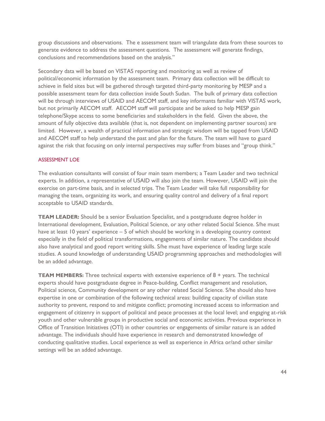group discussions and observations. The e assessment team will triangulate data from these sources to generate evidence to address the assessment questions. The assessment will generate findings, conclusions and recommendations based on the analysis."

Secondary data will be based on VISTAS reporting and monitoring as well as review of political/economic information by the assessment team. Primary data collection will be difficult to achieve in field sites but will be gathered through targeted third-party monitoring by MESP and a possible assessment team for data collection inside South Sudan. The bulk of primary data collection will be through interviews of USAID and AECOM staff, and key informants familiar with VISTAS work, but not primarily AECOM staff. AECOM staff will participate and be asked to help MESP gain telephone/Skype access to some beneficiaries and stakeholders in the field. Given the above, the amount of fully objective data available (that is, not dependent on implementing partner sources) are limited. However, a wealth of practical information and strategic wisdom will be tapped from USAID and AECOM staff to help understand the past and plan for the future. The team will have to guard against the risk that focusing on only internal perspectives may suffer from biases and "group think."

#### ASSESSMENT LOE

The evaluation consultants will consist of four main team members; a Team Leader and two technical experts. In addition, a representative of USAID will also join the team. However, USAID will join the exercise on part-time basis, and in selected trips. The Team Leader will take full responsibility for managing the team, organizing its work, and ensuring quality control and delivery of a final report acceptable to USAID standards.

**TEAM LEADER:** Should be a senior Evaluation Specialist, and a postgraduate degree holder in International development, Evaluation, Political Science, or any other related Social Science. S/he must have at least 10 years' experience – 5 of which should be working in a developing country context especially in the field of political transformations, engagements of similar nature. The candidate should also have analytical and good report writing skills. S/he must have experience of leading large scale studies. A sound knowledge of understanding USAID programming approaches and methodologies will be an added advantage.

**TEAM MEMBERS:** Three technical experts with extensive experience of 8 + years. The technical experts should have postgraduate degree in Peace-building, Conflict management and resolution, Political science, Community development or any other related Social Science. S/he should also have expertise in one or combination of the following technical areas: building capacity of civilian state authority to prevent, respond to and mitigate conflict; promoting increased access to information and engagement of citizenry in support of political and peace processes at the local level; and engaging at-risk youth and other vulnerable groups in productive social and economic activities. Previous experience in Office of Transition Initiatives (OTI) in other countries or engagements of similar nature is an added advantage. The individuals should have experience in research and demonstrated knowledge of conducting qualitative studies. Local experience as well as experience in Africa or/and other similar settings will be an added advantage.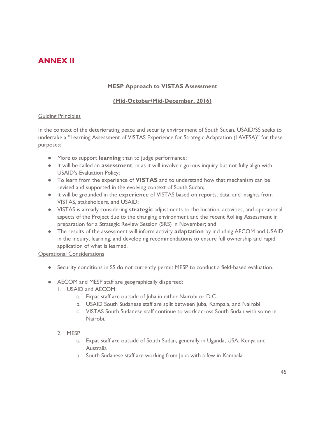# <span id="page-44-0"></span>**ANNEX II**

# **MESP Approach to VISTAS Assessment**

# **(Mid-October/Mid-December, 2016)**

#### **Guiding Principles**

In the context of the deteriorating peace and security environment of South Sudan, USAID/SS seeks to undertake a "Learning Assessment of VISTAS Experience for Strategic Adaptation (LAVESA)" for these purposes:

- More to support **learning** than to judge performance;
- It will be called an **assessment**, in as it will involve rigorous inquiry but not fully align with USAID's Evaluation Policy;
- To learn from the experience of **VISTAS** and to understand how that mechanism can be revised and supported in the evolving context of South Sudan;
- It will be grounded in the **experience** of VISTAS based on reports, data, and insights from VISTAS, stakeholders, and USAID;
- VISTAS is already considering **strategic** adjustments to the location, activities, and operational aspects of the Project due to the changing environment and the recent Rolling Assessment in preparation for a Strategic Review Session (SRS) in November; and
- The results of the assessment will inform activity **adaptation** by including AECOM and USAID in the inquiry, learning, and developing recommendations to ensure full ownership and rapid application of what is learned.

# Operational Considerations

- Security conditions in SS do not currently permit MESP to conduct a field-based evaluation.
- AECOM and MESP staff are geographically dispersed:
	- 1. USAID and AECOM:
		- a. Expat staff are outside of Juba in either Nairobi or D.C.
		- b. USAID South Sudanese staff are split between Juba, Kampala, and Nairobi
		- c. VISTAS South Sudanese staff continue to work across South Sudan with some in Nairobi.

# 2. MESP

- a. Expat staff are outside of South Sudan, generally in Uganda, USA, Kenya and Australia
- b. South Sudanese staff are working from Juba with a few in Kampala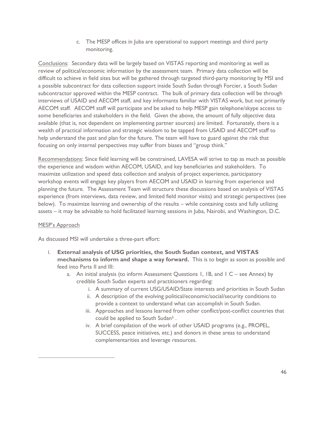c. The MESP offices in Juba are operational to support meetings and third party monitoring.

Conclusions: Secondary data will be largely based on VISTAS reporting and monitoring as well as review of political/economic information by the assessment team. Primary data collection will be difficult to achieve in field sites but will be gathered through targeted third-party monitoring by MSI and a possible subcontract for data collection support inside South Sudan through Forcier, a South Sudan subcontractor approved within the MESP contract. The bulk of primary data collection will be through interviews of USAID and AECOM staff, and key informants familiar with VISTAS work, but not primarily AECOM staff. AECOM staff will participate and be asked to help MESP gain telephone/skype access to some beneficiaries and stakeholders in the field. Given the above, the amount of fully objective data available (that is, not dependent on implementing partner sources) are limited. Fortunately, there is a wealth of practical information and strategic wisdom to be tapped from USAID and AECOM staff to help understand the past and plan for the future. The team will have to guard against the risk that focusing on only internal perspectives may suffer from biases and "group think."

Recommendations: Since field learning will be constrained, LAVESA will strive to tap as much as possible the experience and wisdom within AECOM, USAID, and key beneficiaries and stakeholders. To maximize utilization and speed data collection and analysis of project experience, participatory workshop events will engage key players from AECOM and USAID in learning from experience and planning the future. The Assessment Team will structure these discussions based on analysis of VISTAS experience (from interviews, data review, and limited field monitor visits) and strategic perspectives (see below). To maximize learning and ownership of the results – while containing costs and fully utilizing assets – it may be advisable to hold facilitated learning sessions in Juba, Nairobi, and Washington, D.C.

# MESP's Approach

 $\overline{a}$ 

As discussed MSI will undertake a three-part effort:

- I. **External analysis of USG priorities, the South Sudan context, and VISTAS mechanisms to inform and shape a way forward.** This is to begin as soon as possible and feed into Parts II and III:
	- a. An initial analysis (to inform Assessment Questions 1, 1B, and 1 C see Annex) by credible South Sudan experts and practitioners regarding:
		- i. A summary of current USG/USAID/State interests and priorities in South Sudan
		- ii. A description of the evolving political/economic/social/security conditions to provide a context to understand what can accomplish in South Sudan.
		- iii. Approaches and lessons learned from other conflict/post-conflict countries that could be applied to South Sudan<sup>5</sup> .
		- iv. A brief compilation of the work of other USAID programs (e.g., PROPEL, SUCCESS, peace initiatives, etc.) and donors in these areas to understand complementarities and leverage resources.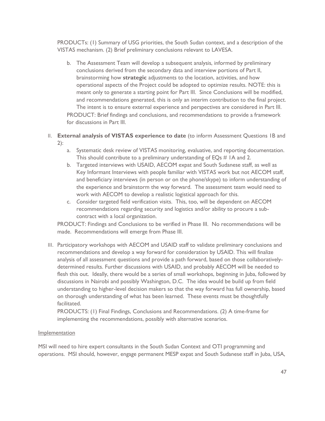PRODUCTs: (1) Summary of USG priorities, the South Sudan context, and a description of the VISTAS mechanism. (2) Brief preliminary conclusions relevant to LAVESA.

- b. The Assessment Team will develop a subsequent analysis, informed by preliminary conclusions derived from the secondary data and interview portions of Part II, brainstorming how **strategic** adjustments to the location, activities, and how operational aspects of the Project could be adopted to optimize results. NOTE: this is meant only to generate a starting point for Part III. Since Conclusions will be modified, and recommendations generated, this is only an interim contribution to the final project. The intent is to ensure external experience and perspectives are considered in Part III. PRODUCT: Brief findings and conclusions, and recommendations to provide a framework for discussions in Part III.
- II. **External analysis of VISTAS experience to date** (to inform Assessment Questions 1B and 2):
	- a. Systematic desk review of VISTAS monitoring, evaluative, and reporting documentation. This should contribute to a preliminary understanding of EQs # 1A and 2.
	- b. Targeted interviews with USAID, AECOM expat and South Sudanese staff, as well as Key Informant Interviews with people familiar with VISTAS work but not AECOM staff, and beneficiary interviews (in person or on the phone/skype) to inform understanding of the experience and brainstorm the way forward. The assessment team would need to work with AECOM to develop a realistic logistical approach for this.
	- c. *C*onsider targeted field verification visits. This, too, will be dependent on AECOM recommendations regarding security and logistics and/or ability to procure a subcontract with a local organization.

PRODUCT: Findings and Conclusions to be verified in Phase III. No recommendations will be made. Recommendations will emerge from Phase III.

III. Participatory workshops with AECOM and USAID staff to validate preliminary conclusions and recommendations and develop a way forward for consideration by USAID. This will finalize analysis of all assessment questions and provide a path forward, based on those collaborativelydetermined results. Further discussions with USAID, and probably AECOM will be needed to flesh this out. Ideally, there would be a series of small workshops, beginning in Juba, followed by discussions in Nairobi and possibly Washington, D.C. The idea would be build up from field understanding to higher-level decision makers so that the way forward has full ownership, based on thorough understanding of what has been learned. These events must be thoughtfully facilitated.

PRODUCTS: (1) Final Findings, Conclusions and Recommendations. (2) A time-frame for implementing the recommendations, possibly with alternative scenarios.

# Implementation

MSI will need to hire expert consultants in the South Sudan Context and OTI programming and operations. MSI should, however, engage permanent MESP expat and South Sudanese staff in Juba, USA,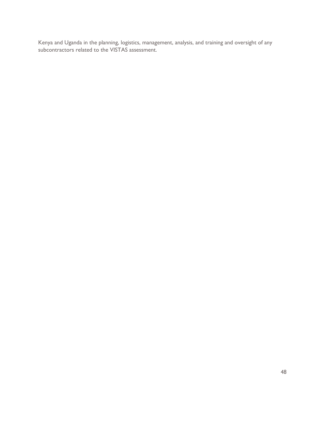Kenya and Uganda in the planning, logistics, management, analysis, and training and oversight of any subcontractors related to the VISTAS assessment.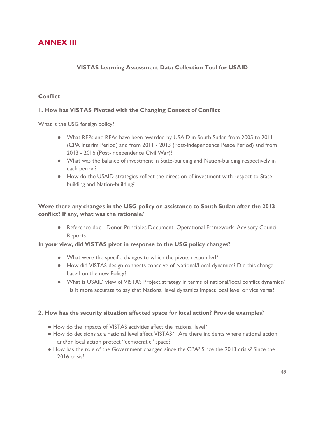# <span id="page-48-0"></span>**ANNEX III**

# **VISTAS Learning Assessment Data Collection Tool for USAID**

# **Conflict**

# **1. How has VISTAS Pivoted with the Changing Context of Conflict**

What is the USG foreign policy?

- What RFPs and RFAs have been awarded by USAID in South Sudan from 2005 to 2011 (CPA Interim Period) and from 2011 - 2013 (Post-Independence Peace Period) and from 2013 - 2016 (Post-Independence Civil War)?
- What was the balance of investment in State-building and Nation-building respectively in each period?
- How do the USAID strategies reflect the direction of investment with respect to Statebuilding and Nation-building?

# **Were there any changes in the USG policy on assistance to South Sudan after the 2013 conflict? If any, what was the rationale?**

● Reference doc - Donor Principles Document Operational Framework Advisory Council **Reports** 

# **In your view, did VISTAS pivot in response to the USG policy changes?**

- What were the specific changes to which the pivots responded?
- How did VISTAS design connects conceive of National/Local dynamics? Did this change based on the new Policy?
- What is USAID view of VISTAS Project strategy in terms of national/local conflict dynamics? Is it more accurate to say that National level dynamics impact local level or vice versa?

# **2. How has the security situation affected space for local action? Provide examples?**

- How do the impacts of VISTAS activities affect the national level?
- How do decisions at a national level affect VISTAS? Are there incidents where national action and/or local action protect "democratic" space?
- How has the role of the Government changed since the CPA? Since the 2013 crisis? Since the 2016 crisis?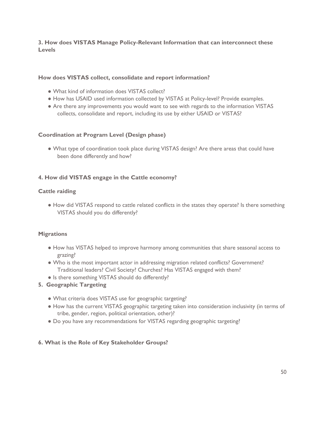# **3. How does VISTAS Manage Policy-Relevant Information that can interconnect these Levels**

## **How does VISTAS collect, consolidate and report information?**

- What kind of information does VISTAS collect?
- How has USAID used information collected by VISTAS at Policy-level? Provide examples.
- Are there any improvements you would want to see with regards to the information VISTAS collects, consolidate and report, including its use by either USAID or VISTAS?

## **Coordination at Program Level (Design phase)**

● What type of coordination took place during VISTAS design? Are there areas that could have been done differently and how?

## **4. How did VISTAS engage in the Cattle economy?**

## **Cattle raiding**

● How did VISTAS respond to cattle related conflicts in the states they operate? Is there something VISTAS should you do differently?

# **Migrations**

- How has VISTAS helped to improve harmony among communities that share seasonal access to grazing?
- Who is the most important actor in addressing migration related conflicts? Government? Traditional leaders? Civil Society? Churches? Has VISTAS engaged with them?
- Is there something VISTAS should do differently?
- **5. Geographic Targeting**
	- What criteria does VISTAS use for geographic targeting?
	- How has the current VISTAS geographic targeting taken into consideration inclusivity (in terms of tribe, gender, region, political orientation, other)?
	- Do you have any recommendations for VISTAS regarding geographic targeting?

# **6. What is the Role of Key Stakeholder Groups?**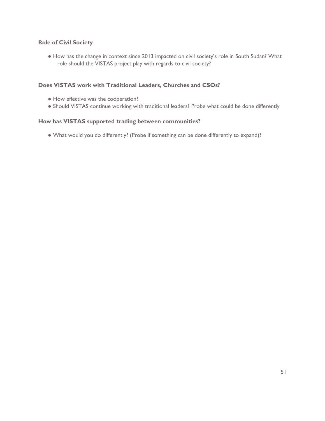# **Role of Civil Society**

● How has the change in context since 2013 impacted on civil society's role in South Sudan? What role should the VISTAS project play with regards to civil society?

# **Does VISTAS work with Traditional Leaders, Churches and CSOs?**

- How effective was the cooperation?
- Should VISTAS continue working with traditional leaders? Probe what could be done differently

# **How has VISTAS supported trading between communities?**

● What would you do differently? (Probe if something can be done differently to expand)?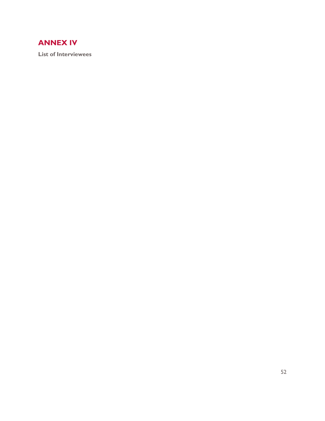# <span id="page-51-0"></span>**ANNEX IV**

**List of Interviewees**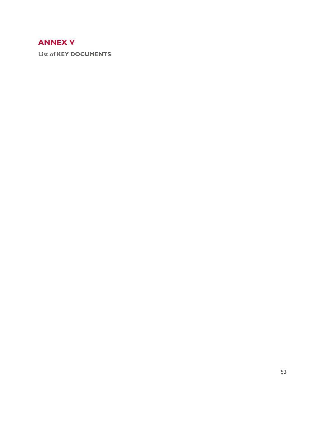# <span id="page-52-0"></span>**ANNEX V**

**List of KEY DOCUMENTS**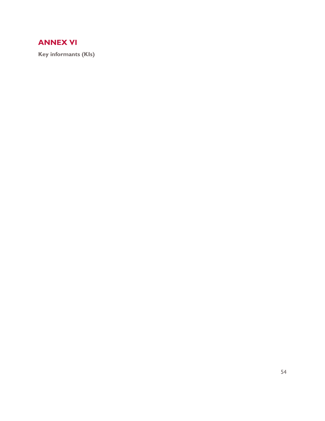# <span id="page-53-0"></span>**ANNEX VI**

**Key informants (KIs)**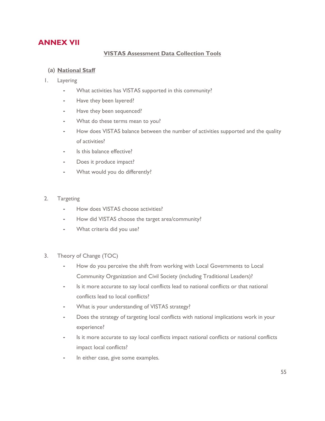# <span id="page-54-0"></span>**ANNEX VII**

# **VISTAS Assessment Data Collection Tools**

# **(a) National Staff**

- 1. Layering
	- What activities has VISTAS supported in this community?
	- ⁃ Have they been layered?
	- Have they been sequenced?
	- What do these terms mean to you?
	- How does VISTAS balance between the number of activities supported and the quality of activities?
	- Is this balance effective?
	- Does it produce impact?
	- What would you do differently?
- 2. Targeting
	- ⁃ How does VISTAS choose activities?
	- How did VISTAS choose the target area/community?
	- What criteria did you use?
- 3. Theory of Change (TOC)
	- How do you perceive the shift from working with Local Governments to Local Community Organization and Civil Society (including Traditional Leaders)?
	- Is it more accurate to say local conflicts lead to national conflicts or that national conflicts lead to local conflicts?
	- What is your understanding of VISTAS strategy?
	- Does the strategy of targeting local conflicts with national implications work in your experience?
	- Is it more accurate to say local conflicts impact national conflicts or national conflicts impact local conflicts?
	- In either case, give some examples.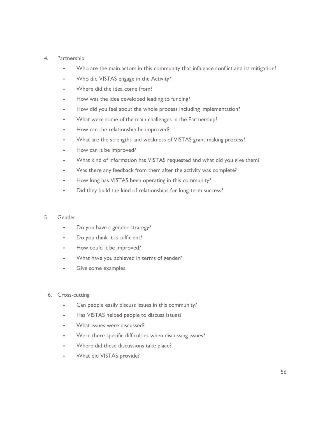#### 4. Partnership

- Who are the main actors in this community that influence conflict and its mitigation?
- Who did VISTAS engage in the Activity?
- Where did the idea come from?
- How was the idea developed leading to funding?
- How did you feel about the whole process including implementation?
- What were some of the main challenges in the Partnership?
- How can the relationship be improved?
- What are the strengths and weakness of VISTAS grant making process?
- How can it be improved?
- What kind of information has VISTAS requested and what did you give them?
- Was there any feedback from them after the activity was complete?
- How long has VISTAS been operating in this community?
- Did they build the kind of relationships for long-term success?

#### 5. Gender

- Do you have a gender strategy?
- Do you think it is sufficient?
- How could it be improved?
- What have you achieved in terms of gender?
- Give some examples.
- 6. Cross-cutting
	- Can people easily discuss issues in this community?
	- Has VISTAS helped people to discuss issues?
	- What issues were discussed?
	- Were there specific difficulties when discussing issues?
	- Where did these discussions take place?
	- What did VISTAS provide?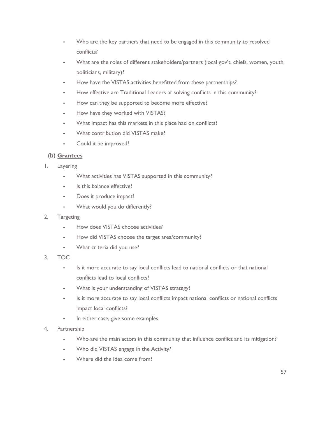- Who are the key partners that need to be engaged in this community to resolved conflicts?
- What are the roles of different stakeholders/partners (local gov't, chiefs, women, youth, politicians, military)?
- How have the VISTAS activities benefitted from these partnerships?
- How effective are Traditional Leaders at solving conflicts in this community?
- How can they be supported to become more effective?
- How have they worked with VISTAS?
- What impact has this markets in this place had on conflicts?
- What contribution did VISTAS make?
- Could it be improved?

# **(b) Grantees**

- 1. Layering
	- What activities has VISTAS supported in this community?
	- Is this balance effective?
	- ⁃ Does it produce impact?
	- ⁃ What would you do differently?
- 2. Targeting
	- How does VISTAS choose activities?
	- How did VISTAS choose the target area/community?
	- ⁃ What criteria did you use?
- 3. TOC
	- ⁃ Is it more accurate to say local conflicts lead to national conflicts or that national conflicts lead to local conflicts?
	- What is your understanding of VISTAS strategy?
	- Is it more accurate to say local conflicts impact national conflicts or national conflicts impact local conflicts?
	- In either case, give some examples.
- 4. Partnership
	- Who are the main actors in this community that influence conflict and its mitigation?
	- ⁃ Who did VISTAS engage in the Activity?
	- Where did the idea come from?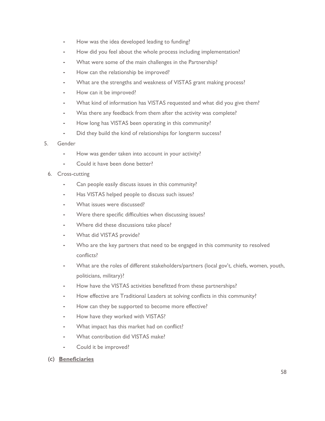- How was the idea developed leading to funding?
- How did you feel about the whole process including implementation?
- What were some of the main challenges in the Partnership?
- How can the relationship be improved?
- What are the strengths and weakness of VISTAS grant making process?
- How can it be improved?
- What kind of information has VISTAS requested and what did you give them?
- Was there any feedback from them after the activity was complete?
- How long has VISTAS been operating in this community?
- ⁃ Did they build the kind of relationships for longterm success?

#### 5. Gender

- How was gender taken into account in your activity?
- Could it have been done better?

#### 6. Cross-cutting

- Can people easily discuss issues in this community?
- Has VISTAS helped people to discuss such issues?
- What issues were discussed?
- Were there specific difficulties when discussing issues?
- Where did these discussions take place?
- What did VISTAS provide?
- Who are the key partners that need to be engaged in this community to resolved conflicts?
- What are the roles of different stakeholders/partners (local gov't, chiefs, women, youth, politicians, military)?
- How have the VISTAS activities benefitted from these partnerships?
- How effective are Traditional Leaders at solving conflicts in this community?
- How can they be supported to become more effective?
- How have they worked with VISTAS?
- What impact has this market had on conflict?
- What contribution did VISTAS make?
- Could it be improved?
- **(c) Beneficiaries**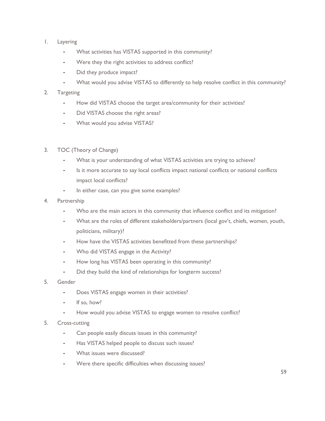- 1. Layering
	- What activities has VISTAS supported in this community?
	- Were they the right activities to address conflict?
	- ⁃ Did they produce impact?
	- What would you advise VISTAS to differently to help resolve conflict in this community?

## 2. Targeting

- How did VISTAS choose the target area/community for their activities?
- ⁃ Did VISTAS choose the right areas?
- What would you advise VISTAS?
- 3. TOC (Theory of Change)
	- What is your understanding of what VISTAS activities are trying to achieve?
	- Is it more accurate to say local conflicts impact national conflicts or national conflicts impact local conflicts?
	- In either case, can you give some examples?
- 4. Partnership
	- Who are the main actors in this community that influence conflict and its mitigation?
	- What are the roles of different stakeholders/partners (local gov't, chiefs, women, youth, politicians, military)?
	- How have the VISTAS activities benefitted from these partnerships?
	- Who did VISTAS engage in the Activity?
	- ⁃ How long has VISTAS been operating in this community?
	- Did they build the kind of relationships for longterm success?
- 5. Gender
	- Does VISTAS engage women in their activities?
	- ⁃ If so, how?
	- ⁃ How would you advise VISTAS to engage women to resolve conflict?
- 5. Cross-cutting
	- Can people easily discuss issues in this community?
	- Has VISTAS helped people to discuss such issues?
	- What issues were discussed?
	- Were there specific difficulties when discussing issues?